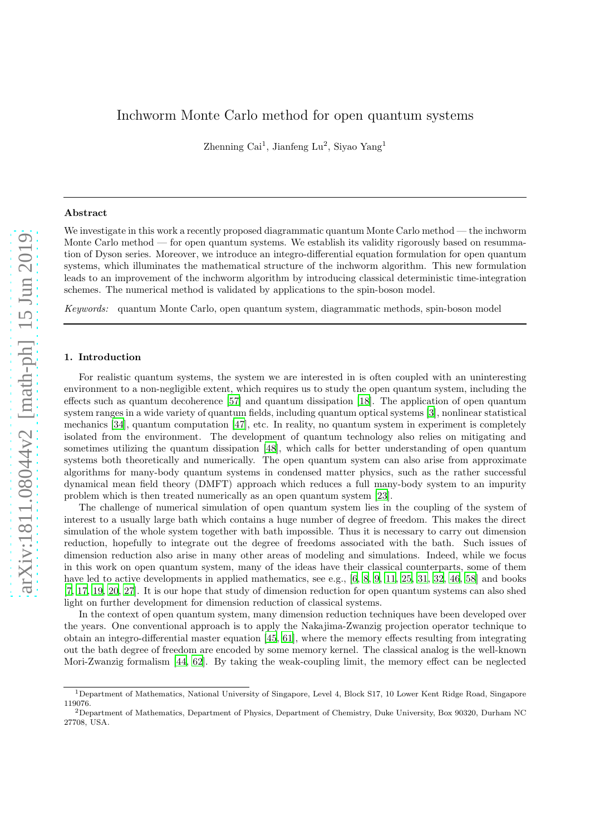# Inchworm Monte Carlo method for open quantum systems

Zhenning Cai<sup>1</sup>, Jianfeng Lu<sup>2</sup>, Siyao Yang<sup>1</sup>

#### Abstract

We investigate in this work a recently proposed diagrammatic quantum Monte Carlo method — the inchworm Monte Carlo method — for open quantum systems. We establish its validity rigorously based on resummation of Dyson series. Moreover, we introduce an integro-differential equation formulation for open quantum systems, which illuminates the mathematical structure of the inchworm algorithm. This new formulation leads to an improvement of the inchworm algorithm by introducing classical deterministic time-integration schemes. The numerical method is validated by applications to the spin-boson model.

Keywords: quantum Monte Carlo, open quantum system, diagrammatic methods, spin-boson model

#### 1. Introduction

For realistic quantum systems, the system we are interested in is often coupled with an uninteresting environment to a non-negligible extent, which requires us to study the open quantum system, including the effects such as quantum decoherence [\[57](#page-27-0)] and quantum dissipation [\[18\]](#page-26-0). The application of open quantum system ranges in a wide variety of quantum fields, including quantum optical systems [\[3\]](#page-26-1), nonlinear statistical mechanics [\[34\]](#page-26-2), quantum computation [\[47\]](#page-27-1), etc. In reality, no quantum system in experiment is completely isolated from the environment. The development of quantum technology also relies on mitigating and sometimes utilizing the quantum dissipation [\[48\]](#page-27-2), which calls for better understanding of open quantum systems both theoretically and numerically. The open quantum system can also arise from approximate algorithms for many-body quantum systems in condensed matter physics, such as the rather successful dynamical mean field theory (DMFT) approach which reduces a full many-body system to an impurity problem which is then treated numerically as an open quantum system [\[23\]](#page-26-3).

The challenge of numerical simulation of open quantum system lies in the coupling of the system of interest to a usually large bath which contains a huge number of degree of freedom. This makes the direct simulation of the whole system together with bath impossible. Thus it is necessary to carry out dimension reduction, hopefully to integrate out the degree of freedoms associated with the bath. Such issues of dimension reduction also arise in many other areas of modeling and simulations. Indeed, while we focus in this work on open quantum system, many of the ideas have their classical counterparts, some of them have led to active developments in applied mathematics, see e.g., [\[6](#page-26-4), [8,](#page-26-5) [9,](#page-26-6) [11,](#page-26-7) [25](#page-26-8), [31](#page-26-9), [32,](#page-26-10) [46,](#page-27-3) [58\]](#page-27-4) and books [\[7](#page-26-11), [17,](#page-26-12) [19,](#page-26-13) [20,](#page-26-14) [27](#page-26-15)]. It is our hope that study of dimension reduction for open quantum systems can also shed light on further development for dimension reduction of classical systems.

In the context of open quantum system, many dimension reduction techniques have been developed over the years. One conventional approach is to apply the Nakajima-Zwanzig projection operator technique to obtain an integro-differential master equation [\[45,](#page-27-5) [61](#page-27-6)], where the memory effects resulting from integrating out the bath degree of freedom are encoded by some memory kernel. The classical analog is the well-known Mori-Zwanzig formalism [\[44,](#page-27-7) [62](#page-27-8)]. By taking the weak-coupling limit, the memory effect can be neglected

<sup>1</sup>Department of Mathematics, National University of Singapore, Level 4, Block S17, 10 Lower Kent Ridge Road, Singapore 119076.

<sup>2</sup>Department of Mathematics, Department of Physics, Department of Chemistry, Duke University, Box 90320, Durham NC 27708, USA.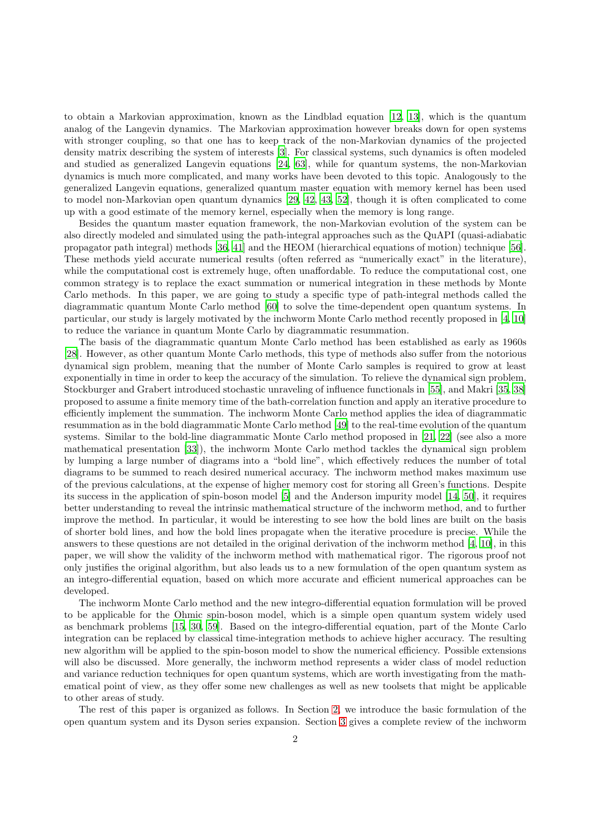to obtain a Markovian approximation, known as the Lindblad equation [\[12,](#page-26-16) [13\]](#page-26-17), which is the quantum analog of the Langevin dynamics. The Markovian approximation however breaks down for open systems with stronger coupling, so that one has to keep track of the non-Markovian dynamics of the projected density matrix describing the system of interests [\[3](#page-26-1)]. For classical systems, such dynamics is often modeled and studied as generalized Langevin equations [\[24,](#page-26-18) [63\]](#page-27-9), while for quantum systems, the non-Markovian dynamics is much more complicated, and many works have been devoted to this topic. Analogously to the generalized Langevin equations, generalized quantum master equation with memory kernel has been used to model non-Markovian open quantum dynamics [\[29,](#page-26-19) [42](#page-27-10), [43,](#page-27-11) [52](#page-27-12)], though it is often complicated to come up with a good estimate of the memory kernel, especially when the memory is long range.

Besides the quantum master equation framework, the non-Markovian evolution of the system can be also directly modeled and simulated using the path-integral approaches such as the QuAPI (quasi-adiabatic propagator path integral) methods [\[36,](#page-26-20) [41\]](#page-27-13) and the HEOM (hierarchical equations of motion) technique [\[56](#page-27-14)]. These methods yield accurate numerical results (often referred as "numerically exact" in the literature), while the computational cost is extremely huge, often unaffordable. To reduce the computational cost, one common strategy is to replace the exact summation or numerical integration in these methods by Monte Carlo methods. In this paper, we are going to study a specific type of path-integral methods called the diagrammatic quantum Monte Carlo method [\[60](#page-27-15)] to solve the time-dependent open quantum systems. In particular, our study is largely motivated by the inchworm Monte Carlo method recently proposed in [\[4](#page-26-21), [10\]](#page-26-22) to reduce the variance in quantum Monte Carlo by diagrammatic resummation.

The basis of the diagrammatic quantum Monte Carlo method has been established as early as 1960s [\[28](#page-26-23)]. However, as other quantum Monte Carlo methods, this type of methods also suffer from the notorious dynamical sign problem, meaning that the number of Monte Carlo samples is required to grow at least exponentially in time in order to keep the accuracy of the simulation. To relieve the dynamical sign problem, Stockburger and Grabert introduced stochastic unraveling of influence functionals in [\[55\]](#page-27-16), and Makri [\[35,](#page-26-24) [38\]](#page-26-25) proposed to assume a finite memory time of the bath-correlation function and apply an iterative procedure to efficiently implement the summation. The inchworm Monte Carlo method applies the idea of diagrammatic resummation as in the bold diagrammatic Monte Carlo method [\[49\]](#page-27-17) to the real-time evolution of the quantum systems. Similar to the bold-line diagrammatic Monte Carlo method proposed in [\[21,](#page-26-26) [22\]](#page-26-27) (see also a more mathematical presentation [\[33](#page-26-28)]), the inchworm Monte Carlo method tackles the dynamical sign problem by lumping a large number of diagrams into a "bold line", which effectively reduces the number of total diagrams to be summed to reach desired numerical accuracy. The inchworm method makes maximum use of the previous calculations, at the expense of higher memory cost for storing all Green's functions. Despite its success in the application of spin-boson model [\[5\]](#page-26-29) and the Anderson impurity model [\[14,](#page-26-30) [50\]](#page-27-18), it requires better understanding to reveal the intrinsic mathematical structure of the inchworm method, and to further improve the method. In particular, it would be interesting to see how the bold lines are built on the basis of shorter bold lines, and how the bold lines propagate when the iterative procedure is precise. While the answers to these questions are not detailed in the original derivation of the inchworm method [\[4](#page-26-21), [10\]](#page-26-22), in this paper, we will show the validity of the inchworm method with mathematical rigor. The rigorous proof not only justifies the original algorithm, but also leads us to a new formulation of the open quantum system as an integro-differential equation, based on which more accurate and efficient numerical approaches can be developed.

The inchworm Monte Carlo method and the new integro-differential equation formulation will be proved to be applicable for the Ohmic spin-boson model, which is a simple open quantum system widely used as benchmark problems [\[15,](#page-26-31) [30,](#page-26-32) [59](#page-27-19)]. Based on the integro-differential equation, part of the Monte Carlo integration can be replaced by classical time-integration methods to achieve higher accuracy. The resulting new algorithm will be applied to the spin-boson model to show the numerical efficiency. Possible extensions will also be discussed. More generally, the inchworm method represents a wider class of model reduction and variance reduction techniques for open quantum systems, which are worth investigating from the mathematical point of view, as they offer some new challenges as well as new toolsets that might be applicable to other areas of study.

The rest of this paper is organized as follows. In Section [2,](#page-2-0) we introduce the basic formulation of the open quantum system and its Dyson series expansion. Section [3](#page-4-0) gives a complete review of the inchworm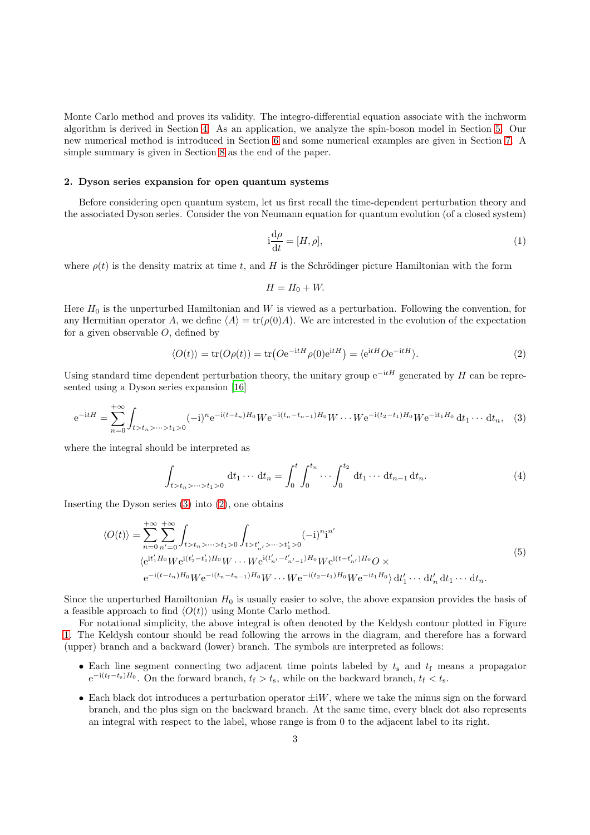Monte Carlo method and proves its validity. The integro-differential equation associate with the inchworm algorithm is derived in Section [4.](#page-13-0) As an application, we analyze the spin-boson model in Section [5.](#page-17-0) Our new numerical method is introduced in Section [6](#page-18-0) and some numerical examples are given in Section [7.](#page-23-0) A simple summary is given in Section [8](#page-25-0) as the end of the paper.

#### <span id="page-2-0"></span>2. Dyson series expansion for open quantum systems

Before considering open quantum system, let us first recall the time-dependent perturbation theory and the associated Dyson series. Consider the von Neumann equation for quantum evolution (of a closed system)

<span id="page-2-4"></span>
$$
i\frac{d\rho}{dt} = [H, \rho],\tag{1}
$$

where  $\rho(t)$  is the density matrix at time t, and H is the Schrödinger picture Hamiltonian with the form

$$
H=H_0+W.
$$

Here  $H_0$  is the unperturbed Hamiltonian and W is viewed as a perturbation. Following the convention, for any Hermitian operator A, we define  $\langle A \rangle = \text{tr}(\rho(0)A)$ . We are interested in the evolution of the expectation for a given observable  $O$ , defined by

<span id="page-2-2"></span>
$$
\langle O(t) \rangle = \text{tr}(O\rho(t)) = \text{tr}\big(Oe^{-itH}\rho(0)e^{itH}\big) = \langle e^{itH}Oe^{-itH}\rangle. \tag{2}
$$

Using standard time dependent perturbation theory, the unitary group  $e^{-itH}$  generated by H can be represented using a Dyson series expansion [\[16\]](#page-26-33)

<span id="page-2-1"></span>
$$
e^{-itH} = \sum_{n=0}^{+\infty} \int_{t>t_n > \dots > t_1>0} (-i)^n e^{-i(t-t_n)H_0} W e^{-i(t_n - t_{n-1})H_0} W \dots W e^{-i(t_2 - t_1)H_0} W e^{-it_1 H_0} dt_1 \dots dt_n, \quad (3)
$$

where the integral should be interpreted as

$$
\int_{t>t_n>\dots>t_1>0} dt_1\cdots dt_n = \int_0^t \int_0^{t_n} \cdots \int_0^{t_2} dt_1\cdots dt_{n-1} dt_n.
$$
 (4)

Inserting the Dyson series  $(3)$  into  $(2)$ , one obtains

$$
\langle O(t) \rangle = \sum_{n=0}^{+\infty} \sum_{n'=0}^{+\infty} \int_{t>t_n > \dots > t_1 > 0} \int_{t>t'_{n'} > \dots > t'_1 > 0} (-i)^n i^{n'}
$$
  
\n
$$
\langle e^{it'_1 H_0} W e^{i(t'_2 - t'_1) H_0} W \dots W e^{i(t'_{n'} - t'_{n'-1}) H_0} W e^{i(t-t'_{n'}) H_0} O \times
$$
  
\n
$$
e^{-i(t-t_n) H_0} W e^{-i(t_n - t_{n-1}) H_0} W \dots W e^{-i(t_2 - t_1) H_0} W e^{-it_1 H_0} \rangle dt'_1 \dots dt'_n dt_1 \dots dt_n.
$$
\n(5)

<span id="page-2-3"></span>Since the unperturbed Hamiltonian  $H_0$  is usually easier to solve, the above expansion provides the basis of a feasible approach to find  $\langle O(t)\rangle$  using Monte Carlo method.

For notational simplicity, the above integral is often denoted by the Keldysh contour plotted in Figure [1.](#page-3-0) The Keldysh contour should be read following the arrows in the diagram, and therefore has a forward (upper) branch and a backward (lower) branch. The symbols are interpreted as follows:

- Each line segment connecting two adjacent time points labeled by  $t_s$  and  $t_f$  means a propagator  $e^{-i(t_f-t_s)H_0}$ . On the forward branch,  $t_f > t_s$ , while on the backward branch,  $t_f < t_s$ .
- Each black dot introduces a perturbation operator  $\pm iW$ , where we take the minus sign on the forward branch, and the plus sign on the backward branch. At the same time, every black dot also represents an integral with respect to the label, whose range is from 0 to the adjacent label to its right.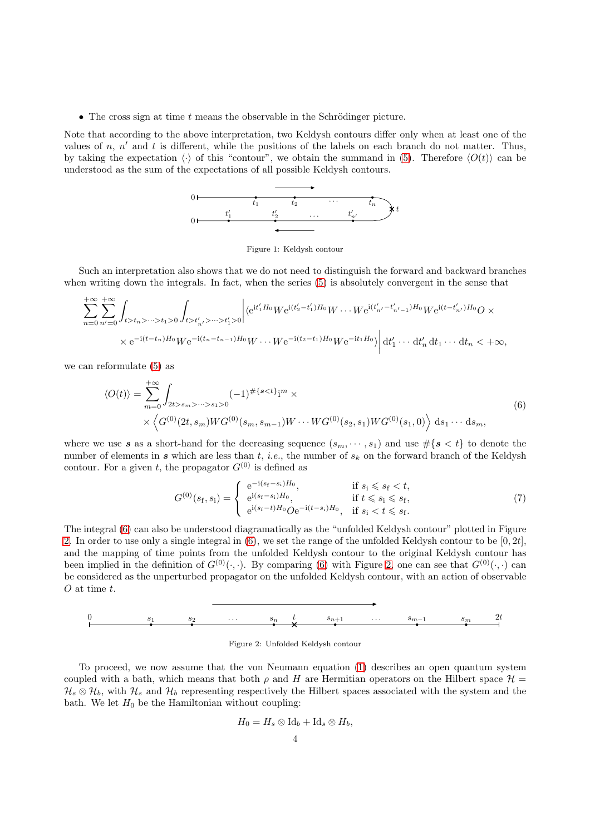• The cross sign at time  $t$  means the observable in the Schrödinger picture.

Note that according to the above interpretation, two Keldysh contours differ only when at least one of the values of  $n, n'$  and  $t$  is different, while the positions of the labels on each branch do not matter. Thus, by taking the expectation  $\langle \cdot \rangle$  of this "contour", we obtain the summand in [\(5\)](#page-2-3). Therefore  $\langle O(t) \rangle$  can be understood as the sum of the expectations of all possible Keldysh contours.



<span id="page-3-0"></span>Figure 1: Keldysh contour

Such an interpretation also shows that we do not need to distinguish the forward and backward branches when writing down the integrals. In fact, when the series [\(5\)](#page-2-3) is absolutely convergent in the sense that

$$
\sum_{n=0}^{+\infty} \sum_{n'=0}^{+\infty} \int_{t>t_n > \dots > t_1 > 0} \int_{t>t'_{n'} > \dots > t'_1 > 0} \left| \langle e^{it'_1 H_0} W e^{i(t'_2 - t'_1)H_0} W \dots W e^{i(t'_{n'} - t'_{n'-1})H_0} W e^{i(t - t'_{n'})H_0} \right| \times \left. e^{-i(t-t_n)H_0} W e^{-i(t_n - t_{n-1})H_0} W \dots W e^{-i(t_2 - t_1)H_0} W e^{-it_1 H_0} \right| dt'_1 \dots dt'_n dt_1 \dots dt_n < +\infty,
$$

<span id="page-3-1"></span>we can reformulate [\(5\)](#page-2-3) as

$$
\langle O(t) \rangle = \sum_{m=0}^{+\infty} \int_{2t > s_m > \dots > s_1 > 0} (-1)^{\# \{s < t\}_1^m} \times \times \left\langle G^{(0)}(2t, s_m) W G^{(0)}(s_m, s_{m-1}) W \dots W G^{(0)}(s_2, s_1) W G^{(0)}(s_1, 0) \right\rangle \, \mathrm{d} s_1 \dots \, \mathrm{d} s_m,
$$
\n
$$
(6)
$$

where we use s as a short-hand for the decreasing sequence  $(s_m, \dots, s_1)$  and use  $\#\{s < t\}$  to denote the number of elements in s which are less than t, *i.e.*, the number of  $s_k$  on the forward branch of the Keldysh contour. For a given t, the propagator  $G^{(0)}$  is defined as

<span id="page-3-3"></span>
$$
G^{(0)}(s_{\rm f}, s_{\rm i}) = \begin{cases} e^{-i(s_{\rm f}-s_{\rm i})H_{0}}, & \text{if } s_{\rm i} \leq s_{\rm f} < t, \\ e^{i(s_{\rm f}-s_{\rm i})H_{0}}, & \text{if } t \leq s_{\rm i} \leq s_{\rm f}, \\ e^{i(s_{\rm f}-t)H_{0}}Oe^{-i(t-s_{\rm i})H_{0}}, & \text{if } s_{\rm i} < t \leq s_{\rm f}. \end{cases}
$$
(7)

The integral [\(6\)](#page-3-1) can also be understood diagramatically as the "unfolded Keldysh contour" plotted in Figure [2.](#page-3-2) In order to use only a single integral in  $(6)$ , we set the range of the unfolded Keldysh contour to be  $[0, 2t]$ , and the mapping of time points from the unfolded Keldysh contour to the original Keldysh contour has been implied in the definition of  $G^{(0)}(\cdot,\cdot)$ . By comparing [\(6\)](#page-3-1) with Figure [2,](#page-3-2) one can see that  $G^{(0)}(\cdot,\cdot)$  can be considered as the unperturbed propagator on the unfolded Keldysh contour, with an action of observable O at time t.



<span id="page-3-2"></span>Figure 2: Unfolded Keldysh contour

To proceed, we now assume that the von Neumann equation [\(1\)](#page-2-4) describes an open quantum system coupled with a bath, which means that both  $\rho$  and H are Hermitian operators on the Hilbert space  $\mathcal{H}$  =  $\mathcal{H}_s \otimes \mathcal{H}_b$ , with  $\mathcal{H}_s$  and  $\mathcal{H}_b$  representing respectively the Hilbert spaces associated with the system and the bath. We let  $H_0$  be the Hamiltonian without coupling:

$$
H_0=H_s\otimes\mathrm{Id}_b+\mathrm{Id}_s\otimes H_b,
$$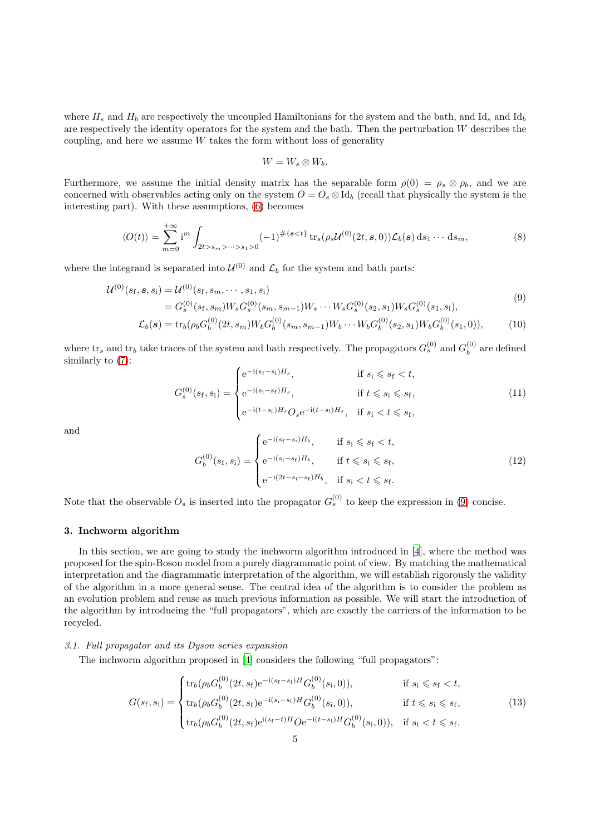where  $H_s$  and  $H_b$  are respectively the uncoupled Hamiltonians for the system and the bath, and Id<sub>s</sub> and Id<sub>b</sub> are respectively the identity operators for the system and the bath. Then the perturbation  $W$  describes the coupling, and here we assume  $W$  takes the form without loss of generality

<span id="page-4-3"></span><span id="page-4-1"></span>
$$
W=W_s\otimes W_b.
$$

Furthermore, we assume the initial density matrix has the separable form  $\rho(0) = \rho_s \otimes \rho_b$ , and we are concerned with observables acting only on the system  $O = O_s \otimes Id_b$  (recall that physically the system is the interesting part). With these assumptions, [\(6\)](#page-3-1) becomes

$$
\langle O(t) \rangle = \sum_{m=0}^{+\infty} i^m \int_{2t > s_m > \dots > s_1 > 0} (-1)^{\# \{s < t\}} \operatorname{tr}_s(\rho_s \mathcal{U}^{(0)}(2t, s, 0)) \mathcal{L}_b(s) \, \mathrm{d} s_1 \dots \, \mathrm{d} s_m,\tag{8}
$$

where the integrand is separated into  $\mathcal{U}^{(0)}$  and  $\mathcal{L}_b$  for the system and bath parts:

$$
\mathcal{U}^{(0)}(s_{\rm f}, s, s_{\rm i}) = \mathcal{U}^{(0)}(s_{\rm f}, s_{m}, \cdots, s_{1}, s_{\rm i})
$$
\n
$$
= G_{s}^{(0)}(s_{\rm f}, s_{m}) W_{s} G_{s}^{(0)}(s_{m}, s_{m-1}) W_{s} \cdots W_{s} G_{s}^{(0)}(s_{2}, s_{1}) W_{s} G_{s}^{(0)}(s_{1}, s_{\rm i}),
$$
\n
$$
\mathcal{L}(s) = \mathcal{U}^{(0)}(s_{\rm f}, s_{m}) W_{s} G_{s}^{(0)}(s_{m}, s_{m-1}) W_{s} \cdots W_{s} G_{s}^{(0)}(s_{2}, s_{1}) W_{s} G_{s}^{(0)}(s_{1}, s_{\rm i}),
$$
\n
$$
\mathcal{L}(s) = \mathcal{U}^{(0)}(s_{\rm f}, s_{m}) W_{s} G_{s}^{(0)}(s_{m}, s_{m-1}) W_{s} \cdots W_{s} G_{s}^{(0)}(s_{1}, s_{\rm i})
$$
\n
$$
\mathcal{L}(s) = \mathcal{U}^{(0)}(s_{\rm f}, s_{m}) W_{s} G_{s}^{(0)}(s_{m}, s_{m-1}) W_{s} \cdots W_{s} G_{s}^{(0)}(s_{1}, s_{\rm i})
$$
\n
$$
\mathcal{L}(s) = \mathcal{L}(s) \mathcal{U}^{(0)}(s_{\rm f}, s_{\rm f}, s_{\rm i})
$$
\n
$$
\mathcal{L}(s) = \mathcal{U}^{(0)}(s_{\rm f}, s_{\rm f}, s_{\rm f}, s_{\rm i})
$$
\n
$$
\mathcal{L}(s) = \mathcal{U}^{(0)}(s_{\rm f}, s_{\rm f}, s_{\rm f}, s_{\rm i})
$$
\n
$$
\mathcal{L}(s) = \mathcal{U}^{(0)}(s_{\rm f}, s_{\rm f}, s_{\rm i})
$$
\n
$$
\mathcal{L}(s) = \mathcal{U}^{(0)}(s_{\rm f}, s_{\rm f}, s_{\rm i})
$$
\n
$$
\mathcal{L}(s) = \mathcal{U}^{(0)}(s_{\rm f}, s_{\rm f}, s_{
$$

$$
\mathcal{L}_b(s) = \text{tr}_b(\rho_b G_b^{(0)}(2t, s_m) W_b G_b^{(0)}(s_m, s_{m-1}) W_b \cdots W_b G_b^{(0)}(s_2, s_1) W_b G_b^{(0)}(s_1, 0)),\tag{10}
$$

where  $\text{tr}_s$  and  $\text{tr}_b$  take traces of the system and bath respectively. The propagators  $G_s^{(0)}$  and  $G_b^{(0)}$  $b^{(0)}$  are defined similarly to [\(7\)](#page-3-3):

$$
G_s^{(0)}(s_f, s_i) = \begin{cases} e^{-i(s_f - s_i)H_s}, & \text{if } s_i \le s_f < t, \\ e^{-i(s_i - s_f)H_s}, & \text{if } t \le s_i \le s_f, \\ e^{-i(t - s_f)H_s}O_s e^{-i(t - s_i)H_s}, & \text{if } s_i < t \le s_f, \end{cases}
$$
(11)

and

$$
G_b^{(0)}(s_f, s_i) = \begin{cases} e^{-i(s_f - s_i)H_b}, & \text{if } s_i \le s_f < t, \\ e^{-i(s_i - s_f)H_b}, & \text{if } t \le s_i \le s_f, \\ e^{-i(2t - s_i - s_f)H_b}, & \text{if } s_i < t \le s_f. \end{cases}
$$
(12)

Note that the observable  $O_s$  is inserted into the propagator  $G_s^{(0)}$  to keep the expression in [\(9\)](#page-4-1) concise.

## <span id="page-4-0"></span>3. Inchworm algorithm

In this section, we are going to study the inchworm algorithm introduced in [\[4](#page-26-21)], where the method was proposed for the spin-Boson model from a purely diagrammatic point of view. By matching the mathematical interpretation and the diagrammatic interpretation of the algorithm, we will establish rigorously the validity of the algorithm in a more general sense. The central idea of the algorithm is to consider the problem as an evolution problem and reuse as much previous information as possible. We will start the introduction of the algorithm by introducing the "full propagators", which are exactly the carriers of the information to be recycled.

## 3.1. Full propagator and its Dyson series expansion

The inchworm algorithm proposed in [\[4](#page-26-21)] considers the following "full propagators":

<span id="page-4-2"></span>
$$
G(s_{\rm f}, s_{\rm i}) = \begin{cases} \text{tr}_b(\rho_b G_b^{(0)}(2t, s_{\rm f})e^{-i(s_{\rm f}-s_{\rm i})H}G_b^{(0)}(s_{\rm i}, 0)), & \text{if } s_{\rm i} \leq s_{\rm f} < t, \\ \text{tr}_b(\rho_b G_b^{(0)}(2t, s_{\rm f})e^{-i(s_{\rm i}-s_{\rm f})H}G_b^{(0)}(s_{\rm i}, 0)), & \text{if } t \leq s_{\rm i} \leq s_{\rm f}, \\ \text{tr}_b(\rho_b G_b^{(0)}(2t, s_{\rm f})e^{i(s_{\rm f}-t)H}Oe^{-i(t-s_{\rm i})H}G_b^{(0)}(s_{\rm i}, 0)), & \text{if } s_{\rm i} < t \leq s_{\rm f}. \end{cases}
$$
(13)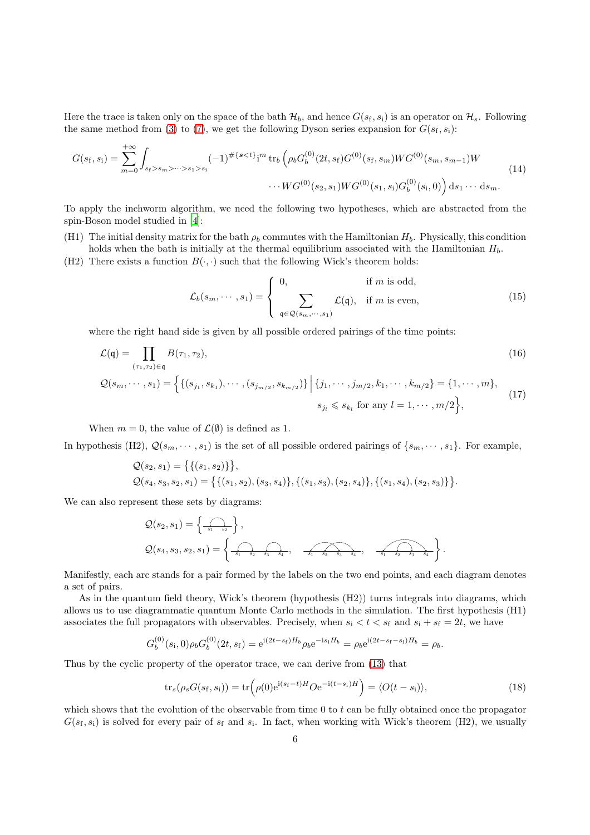Here the trace is taken only on the space of the bath  $\mathcal{H}_b$ , and hence  $G(s_f, s_i)$  is an operator on  $\mathcal{H}_s$ . Following the same method from [\(3\)](#page-2-1) to [\(7\)](#page-3-3), we get the following Dyson series expansion for  $G(s_f, s_i)$ :

<span id="page-5-1"></span>G(s<sup>f</sup> , si) = <sup>X</sup> +∞ m=0 Z s<sup>f</sup> >sm>···>s1>s<sup>i</sup> (−1)#{s<t} i <sup>m</sup> tr<sup>b</sup> ρbG (0) b (2t, sf)G (0)(s<sup>f</sup> , sm)W G(0)(sm, sm−<sup>1</sup>)W · · · W G(0)(s2, s1)W G(0)(s1, si)G (0) b (s<sup>i</sup> , 0) ds<sup>1</sup> · · · dsm. (14)

To apply the inchworm algorithm, we need the following two hypotheses, which are abstracted from the spin-Boson model studied in [\[4](#page-26-21)]:

- (H1) The initial density matrix for the bath  $\rho_b$  commutes with the Hamiltonian  $H_b$ . Physically, this condition holds when the bath is initially at the thermal equilibrium associated with the Hamiltonian  $H<sub>b</sub>$ .
- (H2) There exists a function  $B(\cdot, \cdot)$  such that the following Wick's theorem holds:

<span id="page-5-3"></span><span id="page-5-0"></span>
$$
\mathcal{L}_b(s_m, \dots, s_1) = \begin{cases}\n0, & \text{if } m \text{ is odd,} \\
\sum_{\mathfrak{q} \in \mathcal{Q}(s_m, \dots, s_1)} \mathcal{L}(\mathfrak{q}), & \text{if } m \text{ is even,}\n\end{cases}
$$
\n(15)

where the right hand side is given by all possible ordered pairings of the time points:

$$
\mathcal{L}(\mathbf{q}) = \prod_{(\tau_1, \tau_2) \in \mathbf{q}} B(\tau_1, \tau_2),
$$
\n
$$
\mathcal{Q}(s_m, \dots, s_1) = \left\{ \left\{ (s_{j_1}, s_{k_1}), \dots, (s_{j_{m/2}}, s_{k_{m/2}}) \right\} \, \Big| \, \left\{ j_1, \dots, j_{m/2}, k_1, \dots, k_{m/2} \right\} = \{1, \dots, m\},
$$
\n
$$
s_{j_l} \leq s_{k_l} \text{ for any } l = 1, \dots, m/2 \right\},
$$
\n
$$
(17)
$$

When  $m = 0$ , the value of  $\mathcal{L}(\emptyset)$  is defined as 1.

In hypothesis (H2),  $\mathcal{Q}(s_m, \dots, s_1)$  is the set of all possible ordered pairings of  $\{s_m, \dots, s_1\}$ . For example,

$$
Q(s_2, s_1) = \{ \{ (s_1, s_2) \} \},
$$
  
 
$$
Q(s_4, s_3, s_2, s_1) = \{ \{ (s_1, s_2), (s_3, s_4) \}, \{ (s_1, s_3), (s_2, s_4) \}, \{ (s_1, s_4), (s_2, s_3) \} \}.
$$

We can also represent these sets by diagrams:

$$
Q(s_2, s_1) = \left\{ \overbrace{\underbrace{\bigcap_{s_1} s_2}}^{s_1} \right\},
$$
  
 
$$
Q(s_4, s_3, s_2, s_1) = \left\{ \overbrace{\underbrace{\bigcap_{s_1} \bigcap_{s_2} s_3 \cdots s_4}}^{s_1} \right\}, \overbrace{\underbrace{\bigcap_{s_1} \bigcap_{s_2} s_3 \cdots s_4}}^{s_1}.
$$

Manifestly, each arc stands for a pair formed by the labels on the two end points, and each diagram denotes a set of pairs.

As in the quantum field theory, Wick's theorem (hypothesis (H2)) turns integrals into diagrams, which allows us to use diagrammatic quantum Monte Carlo methods in the simulation. The first hypothesis (H1) associates the full propagators with observables. Precisely, when  $s_i < t < s_f$  and  $s_i + s_f = 2t$ , we have

$$
G_b^{(0)}(s_i,0)\rho_b G_b^{(0)}(2t,s_f) = e^{i(2t-s_f)H_b}\rho_b e^{-is_i H_b} = \rho_b e^{i(2t-s_f-s_i)H_b} = \rho_b.
$$

Thus by the cyclic property of the operator trace, we can derive from [\(13\)](#page-4-2) that

<span id="page-5-2"></span>
$$
\text{tr}_s(\rho_s G(s_f, s_i)) = \text{tr}\left(\rho(0)e^{i(s_f - t)H} O e^{-i(t - s_i)H}\right) = \langle O(t - s_i)\rangle,\tag{18}
$$

which shows that the evolution of the observable from time  $0$  to t can be fully obtained once the propagator  $G(s<sub>f</sub>, s<sub>i</sub>)$  is solved for every pair of  $s<sub>f</sub>$  and  $s<sub>i</sub>$ . In fact, when working with Wick's theorem (H2), we usually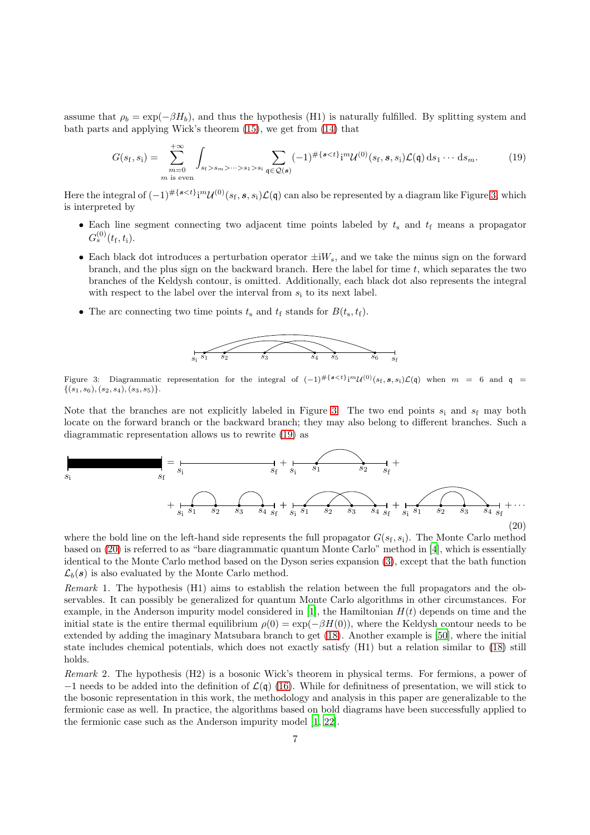assume that  $\rho_b = \exp(-\beta H_b)$ , and thus the hypothesis (H1) is naturally fulfilled. By splitting system and bath parts and applying Wick's theorem [\(15\)](#page-5-0), we get from [\(14\)](#page-5-1) that

<span id="page-6-1"></span>
$$
G(s_{\mathbf{f}}, s_{\mathbf{i}}) = \sum_{\substack{m=0 \ m \text{ is even}}}^{+\infty} \int_{s_{\mathbf{f}} > s_m > \dots > s_1 > s_{\mathbf{i}}} \sum_{\mathbf{q} \in \mathcal{Q}(\mathbf{s})} (-1)^{\# \{s < t\}} i^m \mathcal{U}^{(0)}(s_{\mathbf{f}}, \mathbf{s}, s_{\mathbf{i}}) \mathcal{L}(\mathbf{q}) \, \mathrm{d} s_1 \dots \, \mathrm{d} s_m. \tag{19}
$$

Here the integral of  $(-1)^{\#\{s < t\}}$ i $^m{\cal U}^{(0)}(s_{\rm f},s,s_{\rm i}){\cal L}({\mathfrak{q}})$  can also be represented by a diagram like Figure [3,](#page-6-0) which is interpreted by

- Each line segment connecting two adjacent time points labeled by  $t_s$  and  $t_f$  means a propagator  $G_s^{(0)}(t_{\rm f},t_{\rm i}).$
- Each black dot introduces a perturbation operator  $\pm iW_s$ , and we take the minus sign on the forward branch, and the plus sign on the backward branch. Here the label for time  $t$ , which separates the two branches of the Keldysh contour, is omitted. Additionally, each black dot also represents the integral with respect to the label over the interval from  $s_i$  to its next label.
- The arc connecting two time points  $t_s$  and  $t_f$  stands for  $B(t_s, t_f)$ .



<span id="page-6-0"></span>Figure 3: Diagrammatic representation for the integral of  $(-1)^{\# \{s < t\}} i^{m} \mathcal{U}^{(0)}(s_f, s, s_i) \mathcal{L}(\mathfrak{q})$  when  $m = 6$  and  $\mathfrak{q} =$  $\{(s_1, s_6), (s_2, s_4), (s_3, s_5)\}.$ 

Note that the branches are not explicitly labeled in Figure [3.](#page-6-0) The two end points  $s_i$  and  $s_f$  may both locate on the forward branch or the backward branch; they may also belong to different branches. Such a diagrammatic representation allows us to rewrite [\(19\)](#page-6-1) as

$$
s_{i} = \frac{1}{s_{i}} \qquad \qquad s_{f} + \frac{1}{s_{i}} \qquad \qquad s_{2} - s_{1} + \frac{1}{s_{i}} \qquad \qquad s_{1} - s_{2} - s_{1} + \frac{1}{s_{i}} \qquad \qquad s_{2} - s_{2} - s_{3} - s_{4} - s_{1} + \cdots
$$
\n
$$
(20)
$$

<span id="page-6-2"></span>where the bold line on the left-hand side represents the full propagator  $G(s_f, s_i)$ . The Monte Carlo method based on [\(20\)](#page-6-2) is referred to as "bare diagrammatic quantum Monte Carlo" method in [\[4\]](#page-26-21), which is essentially identical to the Monte Carlo method based on the Dyson series expansion [\(3\)](#page-2-1), except that the bath function  $\mathcal{L}_b(s)$  is also evaluated by the Monte Carlo method.

Remark 1. The hypothesis (H1) aims to establish the relation between the full propagators and the observables. It can possibly be generalized for quantum Monte Carlo algorithms in other circumstances. For example, in the Anderson impurity model considered in [\[1\]](#page-26-34), the Hamiltonian  $H(t)$  depends on time and the initial state is the entire thermal equilibrium  $\rho(0) = \exp(-\beta H(0))$ , where the Keldysh contour needs to be extended by adding the imaginary Matsubara branch to get [\(18\)](#page-5-2). Another example is [\[50](#page-27-18)], where the initial state includes chemical potentials, which does not exactly satisfy (H1) but a relation similar to [\(18\)](#page-5-2) still holds.

<span id="page-6-3"></span>Remark 2. The hypothesis (H2) is a bosonic Wick's theorem in physical terms. For fermions, a power of  $-1$  needs to be added into the definition of  $\mathcal{L}(\mathfrak{q})$  [\(16\)](#page-5-3). While for definitness of presentation, we will stick to the bosonic representation in this work, the methodology and analysis in this paper are generalizable to the fermionic case as well. In practice, the algorithms based on bold diagrams have been successfully applied to the fermionic case such as the Anderson impurity model [\[1](#page-26-34), [22](#page-26-27)].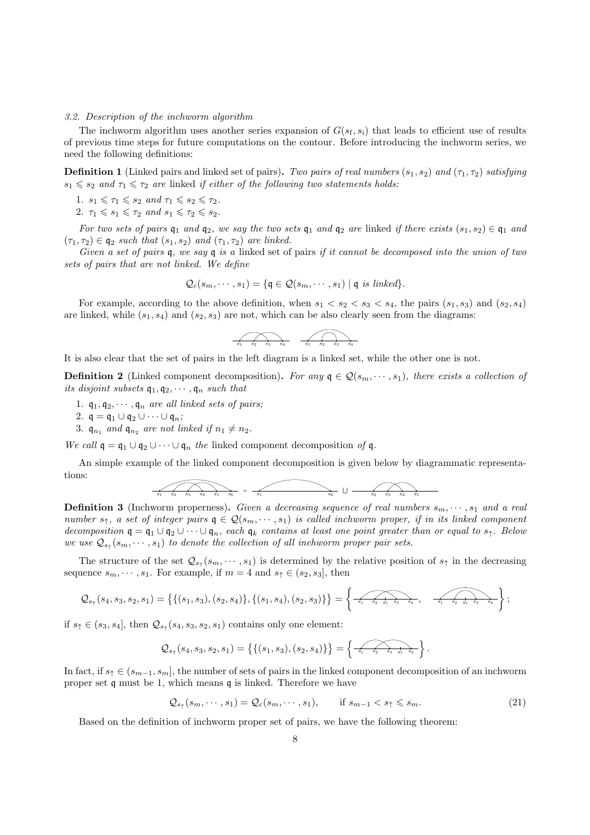## 3.2. Description of the inchworm algorithm

The inchworm algorithm uses another series expansion of  $G(s_f, s_i)$  that leads to efficient use of results of previous time steps for future computations on the contour. Before introducing the inchworm series, we need the following definitions:

**Definition 1** (Linked pairs and linked set of pairs). Two pairs of real numbers  $(s_1, s_2)$  and  $(\tau_1, \tau_2)$  satisfying  $s_1 \leq s_2$  and  $\tau_1 \leq \tau_2$  are linked if either of the following two statements holds:

1.  $s_1 \leq \tau_1 \leq s_2$  and  $\tau_1 \leq s_2 \leq \tau_2$ .

2.  $\tau_1 \leqslant s_1 \leqslant \tau_2$  and  $s_1 \leqslant \tau_2 \leqslant s_2$ .

For two sets of pairs  $q_1$  and  $q_2$ , we say the two sets  $q_1$  and  $q_2$  are linked if there exists  $(s_1, s_2) \in q_1$  and  $(\tau_1, \tau_2) \in \mathfrak{q}_2$  such that  $(s_1, s_2)$  and  $(\tau_1, \tau_2)$  are linked.

Given a set of pairs q, we say q is a linked set of pairs if it cannot be decomposed into the union of two sets of pairs that are not linked. We define

$$
Q_c(s_m, \dots, s_1) = \{ \mathfrak{q} \in \mathcal{Q}(s_m, \dots, s_1) \mid \mathfrak{q} \text{ is linked} \}.
$$

For example, according to the above definition, when  $s_1 < s_2 < s_3 < s_4$ , the pairs  $(s_1, s_3)$  and  $(s_2, s_4)$ are linked, while  $(s_1, s_4)$  and  $(s_2, s_3)$  are not, which can be also clearly seen from the diagrams:

s<sup>1</sup> s<sup>2</sup> s<sup>3</sup> s<sup>4</sup> s<sup>1</sup> s<sup>2</sup> s<sup>3</sup> s<sup>4</sup>

It is also clear that the set of pairs in the left diagram is a linked set, while the other one is not.

**Definition 2** (Linked component decomposition). For any  $q \in \mathcal{Q}(s_m, \dots, s_1)$ , there exists a collection of its disjoint subsets  $q_1, q_2, \dots, q_n$  such that

- 1.  $q_1, q_2, \cdots, q_n$  are all linked sets of pairs;
- 2.  $\mathfrak{q} = \mathfrak{q}_1 \cup \mathfrak{q}_2 \cup \cdots \cup \mathfrak{q}_n;$
- 3.  $\mathfrak{q}_{n_1}$  and  $\mathfrak{q}_{n_2}$  are not linked if  $n_1 \neq n_2$ .

We call  $\mathfrak{q} = \mathfrak{q}_1 \cup \mathfrak{q}_2 \cup \cdots \cup \mathfrak{q}_n$  the linked component decomposition of  $\mathfrak{q}$ .

An simple example of the linked component decomposition is given below by diagrammatic representations:

$$
s_1 \quad s_2 \quad s_3 \quad s_4 \quad s_5 \quad s_6 \quad = \quad s_1 \qquad \qquad s_6 \quad \bigcup \quad s_2 \quad s_3 \quad s_4 \quad s_5
$$

**Definition 3** (Inchworm properness). Given a decreasing sequence of real numbers  $s_m, \dots, s_1$  and a real number  $s_{\uparrow}$ , a set of integer pairs  $\mathfrak{q} \in \mathcal{Q}(s_m, \dots, s_1)$  is called inchworm proper, if in its linked component decomposition  $\mathfrak{q} = \mathfrak{q}_1 \cup \mathfrak{q}_2 \cup \cdots \cup \mathfrak{q}_n$ , each  $\mathfrak{q}_k$  contains at least one point greater than or equal to  $s_{\uparrow}$ . Below we use  $\mathcal{Q}_{s_{\uparrow}}(s_m, \dots, s_1)$  to denote the collection of all inchworm proper pair sets.

The structure of the set  $\mathcal{Q}_{s_{\uparrow}}(s_m, \dots, s_1)$  is determined by the relative position of  $s_{\uparrow}$  in the decreasing sequence  $s_m, \dots, s_1$ . For example, if  $m = 4$  and  $s_{\uparrow} \in (s_2, s_3]$ , then

$$
\mathcal{Q}_{s_{\uparrow}}(s_4,s_3,s_2,s_1)=\left\{\{(s_1,s_3),(s_2,s_4)\},\{(s_1,s_4),(s_2,s_3)\}\right\}=\left\{\overbrace{\scriptstyle s_1\quad \ \ s_2\quad s_1\quad s_3\quad \ \ s_4\quad \ \ },\quad \ \ \overbrace{\scriptstyle s_1\quad \ s_2\quad s_1\quad s_3\quad \ s_4\quad \ }\right\};
$$

if  $s_{\uparrow} \in (s_3, s_4]$ , then  $\mathcal{Q}_{s_{\uparrow}}(s_4, s_3, s_2, s_1)$  contains only one element:

$$
\mathcal{Q}_{s_{\uparrow}}(s_4,s_3,s_2,s_1)=\left\{\{(s_1,s_3),(s_2,s_4)\}\right\}=\left\{\overbrace{\scriptstyle{s_1=s_2-s_3-s_{\uparrow}-s_4}}\right\}.
$$

In fact, if  $s<sub>↑</sub> \in (s<sub>m-1</sub>, s<sub>m</sub>)$ , the number of sets of pairs in the linked component decomposition of an inchworm proper set q must be 1, which means q is linked. Therefore we have

<span id="page-7-0"></span>
$$
\mathcal{Q}_{s_{\uparrow}}(s_m, \cdots, s_1) = \mathcal{Q}_c(s_m, \cdots, s_1), \qquad \text{if } s_{m-1} < s_{\uparrow} \leq s_m. \tag{21}
$$

Based on the definition of inchworm proper set of pairs, we have the following theorem: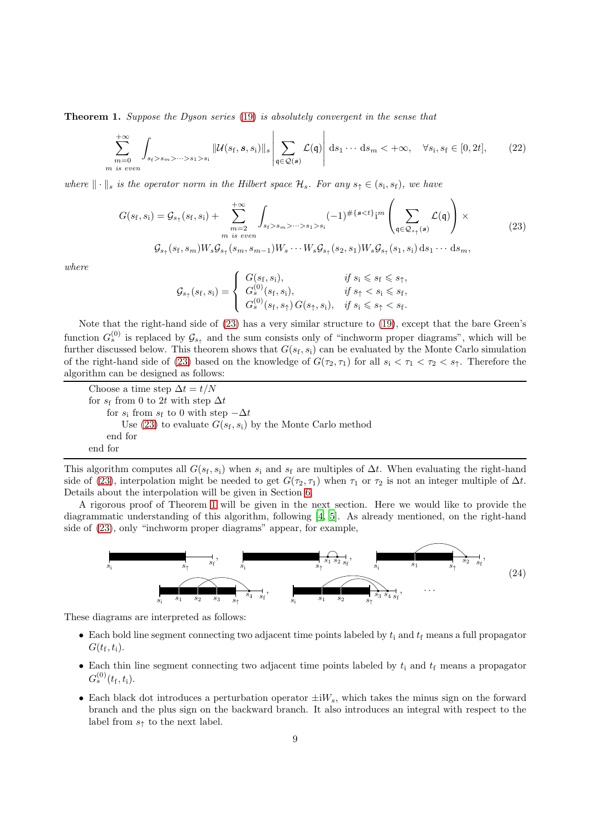<span id="page-8-1"></span>Theorem 1. Suppose the Dyson series [\(19\)](#page-6-1) is absolutely convergent in the sense that

<span id="page-8-2"></span>
$$
\sum_{m=0}^{+\infty} \int_{s_f > s_m > \dots > s_1 > s_i} ||\mathcal{U}(s_f, s, s_i)||_s \left| \sum_{\mathfrak{q} \in \mathcal{Q}(s)} \mathcal{L}(\mathfrak{q}) \right| \, \mathrm{d}s_1 \cdots \mathrm{d}s_m < +\infty, \quad \forall s_i, s_f \in [0, 2t], \tag{22}
$$

<span id="page-8-0"></span>where  $\|\cdot\|_s$  is the operator norm in the Hilbert space  $\mathcal{H}_s$ . For any  $s_{\uparrow} \in (s_i, s_f)$ , we have

$$
G(s_{\rm f}, s_{\rm i}) = \mathcal{G}_{s_{\uparrow}}(s_{\rm f}, s_{\rm i}) + \sum_{\substack{m=2 \ m \text{ is even}}}^{+\infty} \int_{s_{\rm f} > s_m > \cdots > s_1 > s_{\rm i}} (-1)^{\# \{s < t\}_{\rm i}^m} \left( \sum_{\mathfrak{q} \in \mathcal{Q}_{s_{\uparrow}}(s)} \mathcal{L}(\mathfrak{q}) \right) \times
$$
\n
$$
\mathcal{G}_{s_{\uparrow}}(s_{\rm f}, s_m) W_s \mathcal{G}_{s_{\uparrow}}(s_m, s_{m-1}) W_s \cdots W_s \mathcal{G}_{s_{\uparrow}}(s_2, s_1) W_s \mathcal{G}_{s_{\uparrow}}(s_1, s_{\rm i}) \, \mathrm{d} s_1 \cdots \mathrm{d} s_m,
$$
\n
$$
(23)
$$

where

$$
\mathcal{G}_{s_{\uparrow}}(s_{\mathbf{f}}, s_{\mathbf{i}}) = \begin{cases}\nG(s_{\mathbf{f}}, s_{\mathbf{i}}), & \text{if } s_{\mathbf{i}} \leq s_{\mathbf{f}} \leq s_{\uparrow}, \\
G_s^{(0)}(s_{\mathbf{f}}, s_{\mathbf{i}}), & \text{if } s_{\uparrow} < s_{\mathbf{i}} \leq s_{\mathbf{f}}, \\
G_s^{(0)}(s_{\mathbf{f}}, s_{\uparrow}) G(s_{\uparrow}, s_{\mathbf{i}}), & \text{if } s_{\mathbf{i}} \leq s_{\uparrow} < s_{\mathbf{f}}.\n\end{cases}
$$

Note that the right-hand side of [\(23\)](#page-8-0) has a very similar structure to [\(19\)](#page-6-1), except that the bare Green's function  $G_s^{(0)}$  is replaced by  $\mathcal{G}_{s<sub>1</sub>}$  and the sum consists only of "inchworm proper diagrams", which will be further discussed below. This theorem shows that  $G(s_f, s_i)$  can be evaluated by the Monte Carlo simulation of the right-hand side of [\(23\)](#page-8-0) based on the knowledge of  $G(\tau_2, \tau_1)$  for all  $s_i < \tau_1 < \tau_2 < s_{\uparrow}$ . Therefore the algorithm can be designed as follows:

Choose a time step  $\Delta t = t/N$ for  $s_f$  from 0 to 2t with step  $\Delta t$ for  $s_i$  from  $s_f$  to 0 with step  $-\Delta t$ Use [\(23\)](#page-8-0) to evaluate  $G(s<sub>f</sub>, s<sub>i</sub>)$  by the Monte Carlo method end for end for

This algorithm computes all  $G(s_f, s_i)$  when  $s_i$  and  $s_f$  are multiples of  $\Delta t$ . When evaluating the right-hand side of [\(23\)](#page-8-0), interpolation might be needed to get  $G(\tau_2, \tau_1)$  when  $\tau_1$  or  $\tau_2$  is not an integer multiple of  $\Delta t$ . Details about the interpolation will be given in Section [6.](#page-18-0)

A rigorous proof of Theorem [1](#page-8-1) will be given in the next section. Here we would like to provide the diagrammatic understanding of this algorithm, following [\[4,](#page-26-21) [5\]](#page-26-29). As already mentioned, on the right-hand side of [\(23\)](#page-8-0), only "inchworm proper diagrams" appear, for example,



These diagrams are interpreted as follows:

- Each bold line segment connecting two adjacent time points labeled by  $t_i$  and  $t_f$  means a full propagator  $G(t_{\rm f},t_{\rm i}).$
- Each thin line segment connecting two adjacent time points labeled by  $t_i$  and  $t_f$  means a propagator  $G_s^{(0)}(t_{\rm f},t_{\rm i}).$
- Each black dot introduces a perturbation operator  $\pm iW_s$ , which takes the minus sign on the forward branch and the plus sign on the backward branch. It also introduces an integral with respect to the label from  $s_{\uparrow}$  to the next label.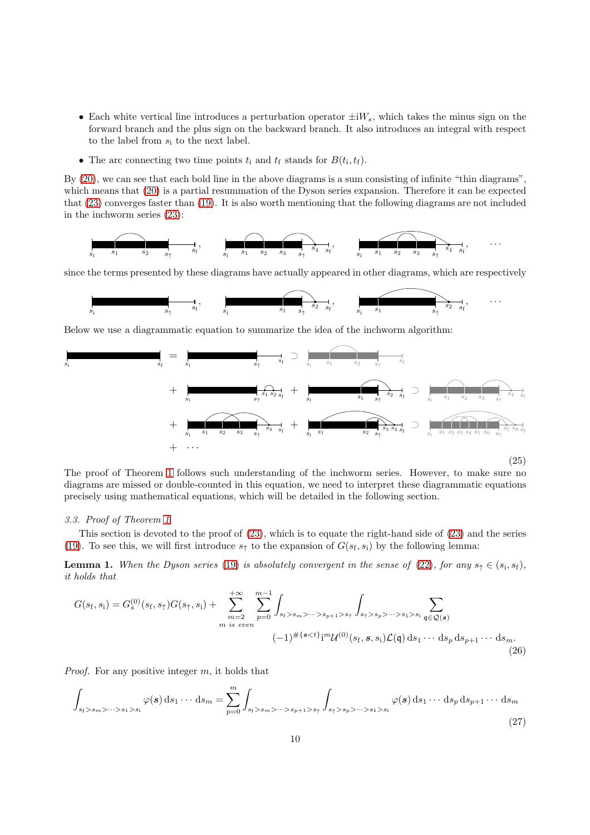- Each white vertical line introduces a perturbation operator  $\pm iW_s$ , which takes the minus sign on the forward branch and the plus sign on the backward branch. It also introduces an integral with respect to the label from  $s_i$  to the next label.
- The arc connecting two time points  $t_i$  and  $t_f$  stands for  $B(t_i, t_f)$ .

By [\(20\)](#page-6-2), we can see that each bold line in the above diagrams is a sum consisting of infinite "thin diagrams", which means that [\(20\)](#page-6-2) is a partial resummation of the Dyson series expansion. Therefore it can be expected that [\(23\)](#page-8-0) converges faster than [\(19\)](#page-6-1). It is also worth mentioning that the following diagrams are not included in the inchworm series [\(23\)](#page-8-0):



since the terms presented by these diagrams have actually appeared in other diagrams, which are respectively



Below we use a diagrammatic equation to summarize the idea of the inchworm algorithm:



<span id="page-9-2"></span>The proof of Theorem [1](#page-8-1) follows such understanding of the inchworm series. However, to make sure no diagrams are missed or double-counted in this equation, we need to interpret these diagrammatic equations precisely using mathematical equations, which will be detailed in the following section.

#### 3.3. Proof of Theorem [1](#page-8-1)

This section is devoted to the proof of [\(23\)](#page-8-0), which is to equate the right-hand side of [\(23\)](#page-8-0) and the series [\(19\)](#page-6-1). To see this, we will first introduce  $s_{\uparrow}$  to the expansion of  $G(s_{\rm f}, s_{\rm i})$  by the following lemma:

**Lemma 1.** When the Dyson series [\(19\)](#page-6-1) is absolutely convergent in the sense of [\(22\)](#page-8-2), for any  $s<sub>†</sub> \in (s<sub>i</sub>, s<sub>f</sub>)$ , it holds that

<span id="page-9-1"></span>
$$
G(s_{\rm f}, s_{\rm i}) = G_{s}^{(0)}(s_{\rm f}, s_{\uparrow})G(s_{\uparrow}, s_{\rm i}) + \sum_{\substack{m=2 \ m \text{ is even}}}^{+\infty} \sum_{p=0}^{m-1} \int_{s_{\rm f} > s_m > \cdots > s_{p+1} > s_{\uparrow}} \int_{s_{\uparrow} > s_p > \cdots > s_1 > s_{\rm i}} \sum_{\mathfrak{q} \in \mathcal{Q}(s)} \sum_{\mathfrak{q} \in \mathcal{Q}(s)} \int_{s_{\rm f} > s_p > \cdots > s_1 > s_{\rm i}} \sum_{\mathfrak{q} \in \mathcal{Q}(s)} \int_{s_{\rm f} > s_p > \cdots > s_1 > s_{\rm i}} \sum_{\mathfrak{q} \in \mathcal{Q}(s)} \int_{s_{\rm f} > s_p > \cdots > s_1 > s_1} \int_{s_{\rm f} > s_p > \cdots > s_1 > s_1} \sum_{\mathfrak{q} \in \mathcal{Q}(s)} \int_{s_{\rm f} > s_p > \cdots > s_1 > s_1} \int_{s_{\rm f} > s_p > \cdots > s_1 > s_1} \sum_{\mathfrak{q} \in \mathcal{Q}(s)} \int_{s_{\rm f} > s_p > \cdots > s_1 > s_1} \sum_{\mathfrak{q} \in \mathcal{Q}(s)} \int_{s_{\rm f} > s_p > \cdots > s_1 > s_1} \int_{s_{\rm f} > s_p > \cdots > s_1 > s_1} \sum_{\mathfrak{q} \in \mathcal{Q}(s)} \sum_{\mathfrak{q} \in \mathcal{Q}(s)} \sum_{\mathfrak{q} \in \mathcal{Q}(s)} \sum_{\mathfrak{q} \in \mathcal{Q}(s)} \sum_{\mathfrak{q} \in \mathcal{Q}(s)} \sum_{\mathfrak{q} \in \mathcal{Q}(s)} \sum_{\mathfrak{q} \in \mathcal{Q}(s)} \sum_{\mathfrak{q} \in \mathcal{Q}(s)} \sum_{\mathfrak{q} \in \mathcal{Q}(s)} \sum_{\mathfrak{q} \in \mathcal{Q}(s)} \sum_{\mathfrak{q} \in \mathcal{Q}(s)} \sum_{\mathfrak{q} \in \mathcal{Q}(s)} \sum_{\mathfrak{q
$$

*Proof.* For any positive integer  $m$ , it holds that

<span id="page-9-0"></span>
$$
\int_{s_f>s_m>\dots>s_1>s_i} \varphi(s) \, \mathrm{d}s_1 \cdots \, \mathrm{d}s_m = \sum_{p=0}^m \int_{s_f>s_m>\dots>s_{p+1}>s_1} \int_{s_f>s_p>\dots>s_1>s_i} \varphi(s) \, \mathrm{d}s_1 \cdots \, \mathrm{d}s_p \, \mathrm{d}s_{p+1} \cdots \, \mathrm{d}s_m
$$
\n(27)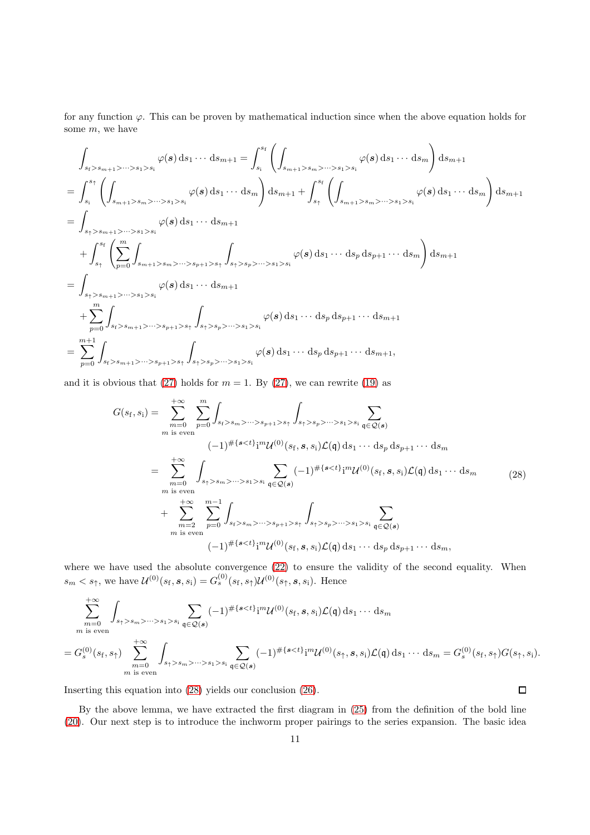for any function  $\varphi$ . This can be proven by mathematical induction since when the above equation holds for some m, we have

$$
\int_{s_{f} > s_{m+1} > \dots > s_{1} > s_{i}} \varphi(s) ds_{1} \dots ds_{m+1} = \int_{s_{i}}^{s_{f}} \left( \int_{s_{m+1} > s_{m} > \dots > s_{1} > s_{i}} \varphi(s) ds_{1} \dots ds_{m} \right) ds_{m+1}
$$
\n
$$
= \int_{s_{i}}^{s_{\uparrow}} \left( \int_{s_{m+1} > s_{m} > \dots > s_{1} > s_{i}} \varphi(s) ds_{1} \dots ds_{m} \right) ds_{m+1} + \int_{s_{\uparrow}}^{s_{f}} \left( \int_{s_{m+1} > s_{m} > \dots > s_{1} > s_{i}} \varphi(s) ds_{1} \dots ds_{m} \right) ds_{m+1}
$$
\n
$$
= \int_{s_{\uparrow} > s_{m+1} > \dots > s_{1} > s_{i}} \varphi(s) ds_{1} \dots ds_{m+1}
$$
\n
$$
+ \int_{s_{\uparrow}}^{s_{f}} \left( \sum_{p=0}^{m} \int_{s_{m+1} > s_{m} > \dots > s_{p+1} > s_{\uparrow}} \int_{s_{\uparrow} > s_{p} > \dots > s_{1} > s_{i}} \varphi(s) ds_{1} \dots ds_{p} ds_{p+1} \dots ds_{m} \right) ds_{m+1}
$$
\n
$$
= \int_{s_{\uparrow} > s_{m+1} > \dots > s_{1} > s_{i}} \varphi(s) ds_{1} \dots ds_{m+1}
$$
\n
$$
+ \sum_{p=0}^{m} \int_{s_{f} > s_{m+1} > \dots > s_{p+1} > s_{\uparrow}} \int_{s_{\uparrow} > s_{p} > \dots > s_{1} > s_{i}} \varphi(s) ds_{1} \dots ds_{p} ds_{p+1} \dots ds_{m+1}
$$
\n
$$
= \sum_{p=0}^{m+1} \int_{s_{f} > s_{m+1} > \dots > s_{p+1} > s_{\uparrow}} \int_{s_{\uparrow} > s_{p} > \dots > s_{1} > s_{i}} \varphi(s) ds_{1} \dots ds_{p} ds_{p+1} \dots ds_{m+1},
$$

and it is obvious that [\(27\)](#page-9-0) holds for  $m = 1$ . By (27), we can rewrite [\(19\)](#page-6-1) as

<span id="page-10-0"></span>
$$
G(s_{\rm f}, s_{\rm i}) = \sum_{m=0}^{+\infty} \sum_{p=0}^{m} \int_{s_{\rm f} > s_m > \cdots > s_{p+1} > s_{\rm f}} \int_{s_{\rm f} > s_p > \cdots > s_1 > s_{\rm i}} \sum_{\mathfrak{q} \in \mathcal{Q}(s)} \sum_{(n=1)^{\# \{s < t\}} i^{m} \mathcal{U}^{(0)}(s_{\rm f}, s, s_{\rm i}) \mathcal{L}(\mathfrak{q}) \, ds_1 \cdots ds_p \, ds_{p+1} \cdots ds_m
$$
\n
$$
= \sum_{m=0}^{+\infty} \int_{s_{\rm f} > s_m > \cdots > s_1 > s_{\rm i}} \sum_{\mathfrak{q} \in \mathcal{Q}(s)} (-1)^{\# \{s < t\}} i^{m} \mathcal{U}^{(0)}(s_{\rm f}, s, s_{\rm i}) \mathcal{L}(\mathfrak{q}) \, ds_1 \cdots ds_m
$$
\n
$$
+ \sum_{m=2}^{+\infty} \sum_{p=0}^{m-1} \int_{s_{\rm f} > s_m > \cdots > s_{p+1} > s_{\rm f}} \int_{s_{\rm f} > s_p > \cdots > s_1 > s_{\rm i}} \sum_{\mathfrak{q} \in \mathcal{Q}(s)} \sum_{m \text{ is even}} (-1)^{\# \{s < t\}} i^{m} \mathcal{U}^{(0)}(s_{\rm f}, s, s_{\rm i}) \mathcal{L}(\mathfrak{q}) \, ds_1 \cdots ds_p \, ds_{p+1} \cdots ds_m,
$$
\n(28)

where we have used the absolute convergence [\(22\)](#page-8-2) to ensure the validity of the second equality. When  $s_m < s_{\uparrow}$ , we have  $\mathcal{U}^{(0)}(s_f, s, s_i) = G_s^{(0)}(s_f, s_{\uparrow}) \mathcal{U}^{(0)}(s_{\uparrow}, s, s_i)$ . Hence

$$
\sum_{m=0}^{+\infty} \int_{s_{\uparrow} > s_m > \dots > s_1 > s_1} \sum_{\mathfrak{q} \in \mathcal{Q}(s)} (-1)^{\# \{s < t\}} i^{m} \mathcal{U}^{(0)}(s_{\mathfrak{f}}, s, s_{\mathfrak{j}}) \mathcal{L}(\mathfrak{q}) \, ds_1 \dots ds_m
$$
\n
$$
= G_s^{(0)}(s_{\mathfrak{f}}, s_{\mathfrak{f}}) \sum_{\substack{m=0 \\ m \text{ is even}}}^{+\infty} \int_{s_{\mathfrak{f}} > s_m > \dots > s_1 > s_1} \sum_{\mathfrak{q} \in \mathcal{Q}(s)} (-1)^{\# \{s < t\}} i^{m} \mathcal{U}^{(0)}(s_{\mathfrak{f}}, s, s_{\mathfrak{j}}) \mathcal{L}(\mathfrak{q}) \, ds_1 \dots ds_m = G_s^{(0)}(s_{\mathfrak{f}}, s_{\mathfrak{f}}) G(s_{\mathfrak{f}}, s_{\mathfrak{j}}).
$$

 $\Box$ 

Inserting this equation into [\(28\)](#page-10-0) yields our conclusion [\(26\)](#page-9-1).

By the above lemma, we have extracted the first diagram in [\(25\)](#page-9-2) from the definition of the bold line [\(20\)](#page-6-2). Our next step is to introduce the inchworm proper pairings to the series expansion. The basic idea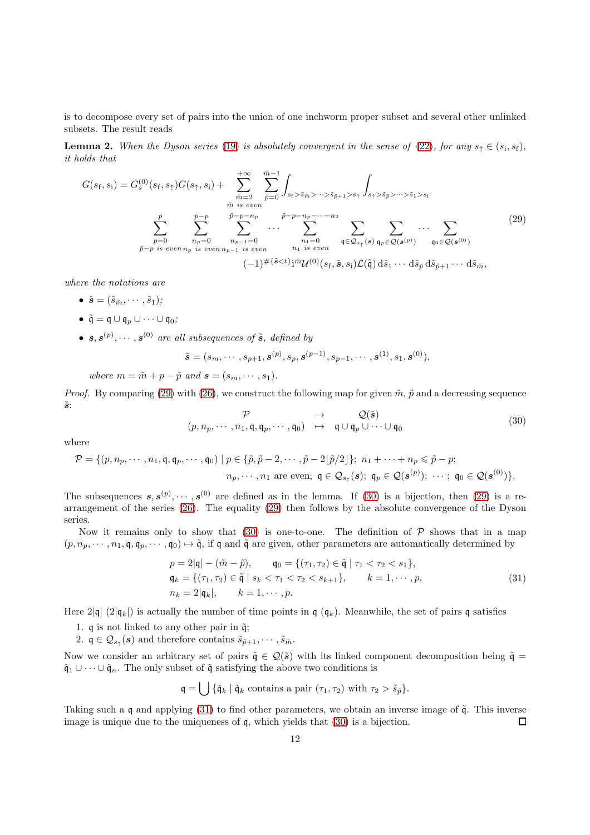is to decompose every set of pairs into the union of one inchworm proper subset and several other unlinked subsets. The result reads

<span id="page-11-3"></span>**Lemma 2.** When the Dyson series [\(19\)](#page-6-1) is absolutely convergent in the sense of [\(22\)](#page-8-2), for any  $s<sub>†</sub> \in (s<sub>i</sub>, s<sub>f</sub>)$ , it holds that

<span id="page-11-0"></span>
$$
G(sf, si) = Gs(0)(sf, sf)G(sf, si) + \sum_{\substack{\tilde{m}=2 \\ \tilde{m} \text{ is even}}}^{\tilde{m}=2} \sum_{\tilde{p}=0}^{\tilde{m}-1} \int_{s_f > \tilde{s}_{\tilde{m}} > \dots > \tilde{s}_{\tilde{p}+1} > s_f} \int_{s_f > \tilde{s}_{\tilde{p}} > \dots > \tilde{s}_1 > s_i}
$$

$$
\sum_{\substack{\tilde{p}=0 \\ \tilde{p}-p \text{ is even}}}^{\tilde{p}} \sum_{\substack{n_p=0 \\ n_p=1 \text{ is even}}}^{\tilde{p}-p} \sum_{\substack{n_{p-1}=0 \\ n_{p-1}=0}}^{\tilde{p}-p-n_p} \dots \sum_{\substack{n_1=0 \\ n_1 \text{ is even}}}^{\tilde{p}-p-n_p-\dots-n_2} \sum_{\mathfrak{q} \in \mathcal{Q}_{s_{\tilde{p}}}(s)} \sum_{\mathfrak{q}_p \in \mathcal{Q}(s^{(p)})}^{\tilde{p}} \dots \sum_{\mathfrak{q}_0 \in \mathcal{Q}(s^{(0)})}^{\tilde{p}} (3) \times \sum_{\mathfrak{q} \in \mathcal{Q}_{s_{\tilde{p}}}(s) \text{ is even}}^{\tilde{p}} \sum_{\mathfrak{q} \in \mathcal{Q}_{s_{\tilde{p}}}(s) \text{ is even}}^{\tilde{p}} \sum_{\mathfrak{q} \in \mathcal{Q}(s^{(0)})}^{\tilde{p}} \dots \sum_{\mathfrak{q} \in \mathcal{Q}(s^{(0)})}^{\tilde{p}} (3) \times \sum_{\mathfrak{q} \in \mathcal{Q}(s^{(0)})}^{\tilde{p}} (3) \times \sum_{\mathfrak{q} \in \mathcal{Q}(s^{(0)})}^{\tilde{p}} \sum_{\mathfrak{q} \text{ is even}}^{\tilde{p}} \sum_{\mathfrak{q} \text{ is even}}^{\tilde{p}-p-n_p-\dots-n_2} \sum_{\mathfrak{q} \text{ is even}}^{\tilde{p}} \sum_{\mathfrak{q} \text{ is even}}^{\tilde{p}} \sum_{\mathfrak{q} \
$$

where the notations are

- $\tilde{\mathbf{s}} = (\tilde{s}_{\tilde{m}}, \cdots, \tilde{s}_{1});$
- $\tilde{\mathfrak{q}} = \mathfrak{q} \cup \mathfrak{q}_p \cup \cdots \cup \mathfrak{q}_0;$
- $s, s^{(p)}, \cdots, s^{(0)}$  are all subsequences of  $\tilde{s}$ , defined by

 $\tilde{\bm{s}} = (s_m, \cdots, s_{p+1}, \bm{s}^{(p)}, s_p, \bm{s}^{(p-1)}, s_{p-1}, \cdots, \bm{s}^{(1)}, s_1, \bm{s}^{(0)}),$ 

where  $m = \tilde{m} + p - \tilde{p}$  and  $\mathbf{s} = (s_m, \dots, s_1)$ .

*Proof.* By comparing [\(29\)](#page-11-0) with [\(26\)](#page-9-1), we construct the following map for given  $\tilde{m}$ ,  $\tilde{p}$  and a decreasing sequence  $\tilde{s}$ :

<span id="page-11-1"></span>
$$
\begin{array}{ccc}\n\mathcal{P} & \rightarrow & \mathcal{Q}(\tilde{s}) \\
(p, n_p, \cdots, n_1, \mathfrak{q}, \mathfrak{q}_p, \cdots, \mathfrak{q}_0) & \mapsto & \mathfrak{q} \cup \mathfrak{q}_p \cup \cdots \cup \mathfrak{q}_0\n\end{array} \tag{30}
$$

where

$$
\mathcal{P} = \{ (p, n_p, \cdots, n_1, \mathfrak{q}, \mathfrak{q}_p, \cdots, \mathfrak{q}_0) \mid p \in \{ \tilde{p}, \tilde{p} - 2, \cdots, \tilde{p} - 2 \lfloor \tilde{p}/2 \rfloor \}; n_1 + \cdots + n_p \leq \tilde{p} - p;
$$
  
\n
$$
n_p, \cdots, n_1 \text{ are even}; \ \mathfrak{q} \in \mathcal{Q}_s(\mathbf{s}); \ \mathfrak{q}_p \in \mathcal{Q}(\mathbf{s}^{(p)}); \ \cdots; \ \mathfrak{q}_0 \in \mathcal{Q}(\mathbf{s}^{(0)}) \}.
$$

The subsequences  $s, s^{(p)}, \dots, s^{(0)}$  are defined as in the lemma. If [\(30\)](#page-11-1) is a bijection, then [\(29\)](#page-11-0) is a rearrangement of the series [\(26\)](#page-9-1). The equality [\(29\)](#page-11-0) then follows by the absolute convergence of the Dyson series.

Now it remains only to show that [\(30\)](#page-11-1) is one-to-one. The definition of  $P$  shows that in a map  $(p, n_p, \dots, n_1, \mathfrak{q}, \mathfrak{q}_p, \dots, \mathfrak{q}_0) \mapsto \tilde{\mathfrak{q}}$ , if q and  $\tilde{\mathfrak{q}}$  are given, other parameters are automatically determined by

<span id="page-11-2"></span>
$$
p = 2|\mathfrak{q}| - (\tilde{m} - \tilde{p}), \qquad \mathfrak{q}_0 = \{(\tau_1, \tau_2) \in \tilde{\mathfrak{q}} \mid \tau_1 < \tau_2 < s_1\},
$$
\n
$$
\mathfrak{q}_k = \{(\tau_1, \tau_2) \in \tilde{\mathfrak{q}} \mid s_k < \tau_1 < \tau_2 < s_{k+1}\}, \qquad k = 1, \cdots, p,
$$
\n
$$
n_k = 2|\mathfrak{q}_k|, \qquad k = 1, \cdots, p.
$$
\n
$$
(31)
$$

Here  $2|\mathbf{q}| (2|\mathbf{q}_k|)$  is actually the number of time points in  $\mathbf{q} (q_k)$ . Meanwhile, the set of pairs q satisfies

- 1.  $\mathfrak q$  is not linked to any other pair in  $\tilde{\mathfrak q}$ ;
- 2.  $\mathfrak{q} \in \mathcal{Q}_{s_{\uparrow}}(\mathbf{s})$  and therefore contains  $\tilde{s}_{\tilde{p}+1}, \cdots, \tilde{s}_{\tilde{m}}$ .

Now we consider an arbitrary set of pairs  $\tilde{\mathfrak{q}} \in \mathcal{Q}(\tilde{s})$  with its linked component decomposition being  $\tilde{\mathfrak{q}} =$  $\tilde{\mathfrak{q}}_1 \cup \cdots \cup \tilde{\mathfrak{q}}_n$ . The only subset of  $\tilde{\mathfrak{q}}$  satisfying the above two conditions is

$$
\mathfrak{q} = \bigcup \{ \tilde{\mathfrak{q}}_k \mid \tilde{\mathfrak{q}}_k \text{ contains a pair } (\tau_1, \tau_2) \text{ with } \tau_2 > \tilde{s}_{\tilde{p}} \}.
$$

Taking such a q and applying  $(31)$  to find other parameters, we obtain an inverse image of  $\tilde{q}$ . This inverse image is unique due to the uniqueness of q, which yields that [\(30\)](#page-11-1) is a bijection.  $\Box$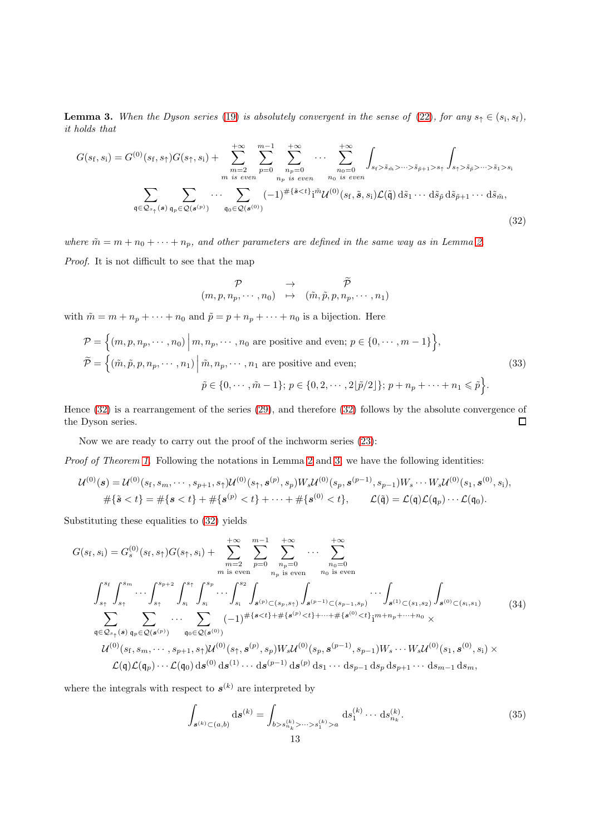<span id="page-12-1"></span>**Lemma 3.** When the Dyson series [\(19\)](#page-6-1) is absolutely convergent in the sense of [\(22\)](#page-8-2), for any  $s<sub>†</sub> \in (s<sub>i</sub>, s<sub>f</sub>)$ , it holds that

<span id="page-12-0"></span>
$$
G(s_{\rm f}, s_{\rm i}) = G^{(0)}(s_{\rm f}, s_{\uparrow})G(s_{\uparrow}, s_{\rm i}) + \sum_{\substack{m=2 \ m \text{ is even}}}^{+\infty} \sum_{p=0}^{m-1} \sum_{\substack{n_p=0 \ n_p \text{ is even}}}^{+\infty} \cdots \sum_{\substack{n_0=0 \ n_0 \text{ is even}}}^{+\infty} \int_{s_{\rm f} > \tilde{s}_{\tilde{m}} > \cdots > \tilde{s}_{\tilde{p}+1} > s_{\uparrow}} \int_{s_{\uparrow} > \tilde{s}_{\tilde{p}} > \cdots > \tilde{s}_{1} > s_{\rm i}}
$$

$$
\sum_{\mathfrak{q} \in \mathcal{Q}_{s_{\uparrow}}(s)} \sum_{\mathfrak{q}_p \in \mathcal{Q}(s^{(p)})} \cdots \sum_{\mathfrak{q}_0 \in \mathcal{Q}(s^{(0)})} (-1)^{\#\{\tilde{s} < t\}} \mathfrak{i}^{\tilde{m}} \mathcal{U}^{(0)}(s_{\rm f}, \tilde{s}, s_{\rm i}) \mathcal{L}(\tilde{\mathfrak{q}}) \, d\tilde{s}_{1} \cdots d\tilde{s}_{\tilde{p}} \, d\tilde{s}_{\tilde{p}+1} \cdots d\tilde{s}_{\tilde{m}}, \tag{32}
$$

where  $\tilde{m} = m + n_0 + \cdots + n_p$ , and other parameters are defined in the same way as in Lemma [2.](#page-11-3) Proof. It is not difficult to see that the map

$$
\begin{array}{rcl}\n\mathcal{P} & \rightarrow & \widetilde{\mathcal{P}} \\
(m,p,n_p,\cdots,n_0) & \mapsto & (\tilde{m},\tilde{p},p,n_p,\cdots,n_1)\n\end{array}
$$

with  $\tilde{m} = m + n_p + \cdots + n_0$  and  $\tilde{p} = p + n_p + \cdots + n_0$  is a bijection. Here

$$
\mathcal{P} = \left\{ (m, p, n_p, \cdots, n_0) \middle| m, n_p, \cdots, n_0 \text{ are positive and even}; p \in \{0, \cdots, m-1\} \right\},\
$$
  

$$
\widetilde{\mathcal{P}} = \left\{ (\widetilde{m}, \widetilde{p}, p, n_p, \cdots, n_1) \middle| \widetilde{m}, n_p, \cdots, n_1 \text{ are positive and even};
$$
  

$$
\widetilde{p} \in \{0, \cdots, \widetilde{m} - 1\}; p \in \{0, 2, \cdots, 2[\widetilde{p}/2] \}; p + n_p + \cdots + n_1 \leq \widetilde{p} \right\}.
$$
  
(33)

Hence [\(32\)](#page-12-0) is a rearrangement of the series [\(29\)](#page-11-0), and therefore [\(32\)](#page-12-0) follows by the absolute convergence of the Dyson series.  $\Box$ 

Now we are ready to carry out the proof of the inchworm series [\(23\)](#page-8-0):

Proof of Theorem [1.](#page-8-1) Following the notations in Lemma [2](#page-11-3) and [3,](#page-12-1) we have the following identities:

$$
\mathcal{U}^{(0)}(\mathbf{s}) = \mathcal{U}^{(0)}(s_{f}, s_{m}, \cdots, s_{p+1}, s_{\uparrow})\mathcal{U}^{(0)}(s_{\uparrow}, \mathbf{s}^{(p)}, s_{p})W_{s}\mathcal{U}^{(0)}(s_{p}, \mathbf{s}^{(p-1)}, s_{p-1})W_{s} \cdots W_{s}\mathcal{U}^{(0)}(s_{1}, \mathbf{s}^{(0)}, s_{i}),
$$
  

$$
\#\{\tilde{\mathbf{s}} < t\} = \#\{\mathbf{s} < t\} + \#\{\mathbf{s}^{(p)} < t\} + \cdots + \#\{\mathbf{s}^{(0)} < t\}, \qquad \mathcal{L}(\tilde{\mathbf{q}}) = \mathcal{L}(\mathbf{q})\mathcal{L}(\mathbf{q}_{p}) \cdots \mathcal{L}(\mathbf{q}_{0}).
$$

Substituting these equalities to [\(32\)](#page-12-0) yields

<span id="page-12-2"></span>
$$
G(s_{\rm f}, s_{\rm i}) = G_{s}^{(0)}(s_{\rm f}, s_{\uparrow})G(s_{\uparrow}, s_{\rm i}) + \sum_{m=2}^{+\infty} \sum_{p=0}^{m-1} \sum_{n_{p}=0}^{+\infty} \cdots \sum_{n_{0}=0}^{+\infty} \sum_{n_{0}=0}^{n_{0}=0}
$$
  
\n
$$
\int_{s_{\uparrow}}^{s_{\rm f}} \int_{s_{\uparrow}}^{s_{m}} \cdots \int_{s_{\uparrow}}^{s_{p+2}} \int_{s_{\rm i}}^{s_{\uparrow}} \int_{s_{\rm i}}^{s_{\uparrow}} \cdots \int_{s_{\rm i}}^{s_{\rm p}} \int_{s}^{0} \cdots \int_{s_{\rm i}}^{s_{\rm 2}} \int_{s}^{0} \cdots \int_{s}^{0} \cdots \int_{s}^{0} \cdots \int_{s}^{0} \cdots \int_{s}^{0} \cdots \int_{s}^{0} \cdots \int_{s}^{0} \cdots \int_{s}^{0} \cdots \int_{s}^{0} \cdots \int_{s}^{0} \cdots \int_{s}^{0} \cdots \int_{s}^{0} \cdots \int_{s}^{0} \cdots \int_{s}^{0} \cdots \int_{s}^{0} \cdots \int_{s}^{0} \cdots \int_{s}^{0} \cdots \int_{s}^{0} \cdots \int_{s}^{0} \cdots \int_{s}^{0} \cdots \int_{s}^{0} \cdots \int_{s}^{0} \cdots \int_{s}^{0} \cdots \int_{s}^{0} \cdots \int_{s}^{0} \cdots \int_{s}^{0} \cdots \int_{s}^{0} \cdots \int_{s}^{0} \cdots \int_{s}^{0} \cdots \int_{s}^{0} \cdots \int_{s}^{0} \cdots \int_{s}^{0} \cdots \int_{s}^{0} \cdots \int_{s}^{0} \cdots \int_{s}^{0} \cdots \int_{s}^{0} \cdots \int_{s}^{0} \cdots \int_{s}^{0} \cdots \int_{s}^{0} \cdots \int_{s}^{0} \cdots \int_{s}^{0} \cdots \int_{s}^{0} \cdots \int_{s}^{0} \cdots \int_{s}^{0} \cdots \int_{s}^{0} \cdots \int_{s}^{
$$

where the integrals with respect to  $s^{(k)}$  are interpreted by

$$
\int_{\mathbf{s}^{(k)} \subset (a,b)} \mathrm{d}\mathbf{s}^{(k)} = \int_{b > s_{n_k}^{(k)} > \dots > s_1^{(k)} > a} \mathrm{d}s_1^{(k)} \dots \mathrm{d}s_{n_k}^{(k)}.\tag{35}
$$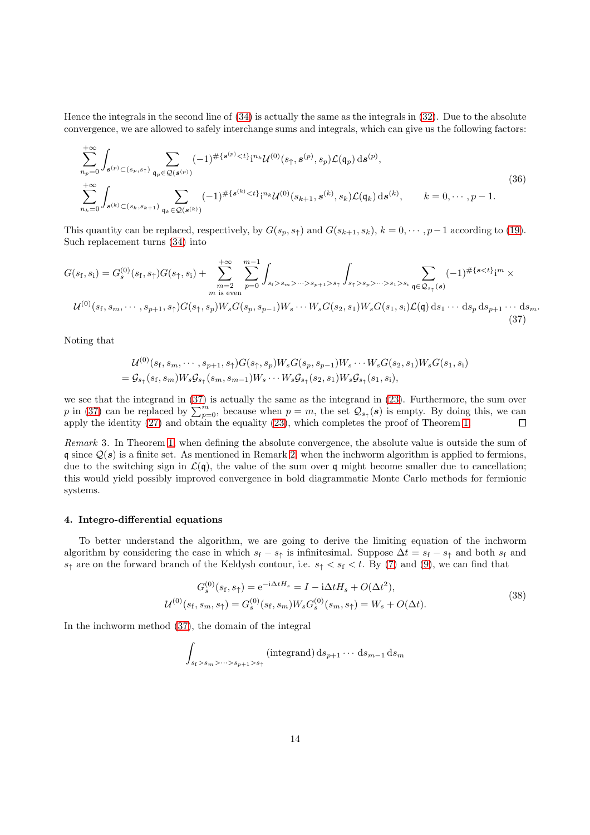Hence the integrals in the second line of [\(34\)](#page-12-2) is actually the same as the integrals in [\(32\)](#page-12-0). Due to the absolute convergence, we are allowed to safely interchange sums and integrals, which can give us the following factors:

$$
\sum_{n_p=0}^{+\infty} \int_{\mathbf{s}^{(p)} \subset (s_p, s_\uparrow)} \sum_{\mathfrak{q}_p \in \mathcal{Q}(\mathbf{s}^{(p)})} (-1)^{\#\{\mathbf{s}^{(p)} < t\}_1^n n_k} \mathcal{U}^{(0)}(s_\uparrow, \mathbf{s}^{(p)}, s_p) \mathcal{L}(\mathfrak{q}_p) \, \mathrm{d}\mathbf{s}^{(p)},
$$
\n
$$
\sum_{n_k=0}^{+\infty} \int_{\mathbf{s}^{(k)} \subset (s_k, s_{k+1})} \sum_{\mathfrak{q}_k \in \mathcal{Q}(\mathbf{s}^{(k)})} (-1)^{\#\{\mathbf{s}^{(k)} < t\}_1^n n_k} \mathcal{U}^{(0)}(s_{k+1}, \mathbf{s}^{(k)}, s_k) \mathcal{L}(\mathfrak{q}_k) \, \mathrm{d}\mathbf{s}^{(k)}, \qquad k=0, \cdots, p-1.
$$
\n(36)

This quantity can be replaced, respectively, by  $G(s_p, s_\uparrow)$  and  $G(s_{k+1}, s_k)$ ,  $k = 0, \dots, p-1$  according to [\(19\)](#page-6-1). Such replacement turns [\(34\)](#page-12-2) into

<span id="page-13-1"></span>
$$
G(s_{\rm f}, s_{\rm i}) = G_{s}^{(0)}(s_{\rm f}, s_{\uparrow})G(s_{\uparrow}, s_{\rm i}) + \sum_{m=2}^{+\infty} \sum_{p=0}^{m-1} \int_{s_{\rm f} > s_m > \cdots > s_{p+1} > s_{\uparrow}} \int_{s_{\uparrow} > s_p > \cdots > s_1 > s_{\rm i}} \sum_{\mathfrak{q} \in \mathcal{Q}_{s_{\uparrow}}(s)} (-1)^{\# \{s < t\}_{\rm i}^m \times
$$
  

$$
\mathcal{U}^{(0)}(s_{\rm f}, s_m, \cdots, s_{p+1}, s_{\uparrow})G(s_{\uparrow}, s_p)W_sG(s_p, s_{p-1})W_s \cdots W_sG(s_2, s_1)W_sG(s_1, s_{\rm i})\mathcal{L}(\mathfrak{q}) \,ds_1 \cdots ds_p \,ds_{p+1} \cdots ds_m.
$$
\n(37)

Noting that

$$
\mathcal{U}^{(0)}(s_f, s_m, \cdots, s_{p+1}, s_\uparrow) G(s_\uparrow, s_p) W_s G(s_p, s_{p-1}) W_s \cdots W_s G(s_2, s_1) W_s G(s_1, s_i)
$$
  
=  $\mathcal{G}_{s_\uparrow}(s_f, s_m) W_s \mathcal{G}_{s_\uparrow}(s_m, s_{m-1}) W_s \cdots W_s \mathcal{G}_{s_\uparrow}(s_2, s_1) W_s \mathcal{G}_{s_\uparrow}(s_1, s_i),$ 

we see that the integrand in [\(37\)](#page-13-1) is actually the same as the integrand in [\(23\)](#page-8-0). Furthermore, the sum over p in [\(37\)](#page-13-1) can be replaced by  $\sum_{p=0}^{m}$ , because when  $p=m$ , the set  $\mathcal{Q}_{s_{\uparrow}}(s)$  is empty. By doing this, we can apply the identity [\(27\)](#page-9-0) and obtain the equality [\(23\)](#page-8-0), which completes the proof of Theorem [1.](#page-8-1)  $\Box$ 

Remark 3. In Theorem [1,](#page-8-1) when defining the absolute convergence, the absolute value is outside the sum of q since  $\mathcal{Q}(s)$  is a finite set. As mentioned in Remark [2,](#page-6-3) when the inchworm algorithm is applied to fermions, due to the switching sign in  $\mathcal{L}(\mathfrak{q})$ , the value of the sum over q might become smaller due to cancellation; this would yield possibly improved convergence in bold diagrammatic Monte Carlo methods for fermionic systems.

## <span id="page-13-0"></span>4. Integro-differential equations

To better understand the algorithm, we are going to derive the limiting equation of the inchworm algorithm by considering the case in which  $s_f - s_\uparrow$  is infinitesimal. Suppose  $\Delta t = s_f - s_\uparrow$  and both  $s_f$  and  $s<sub>†</sub>$  are on the forward branch of the Keldysh contour, i.e.  $s<sub>†</sub> < s<sub>f</sub> < t$ . By [\(7\)](#page-3-3) and [\(9\)](#page-4-1), we can find that

$$
G_s^{(0)}(s_f, s_\uparrow) = e^{-i\Delta t H_s} = I - i\Delta t H_s + O(\Delta t^2),
$$
  

$$
\mathcal{U}^{(0)}(s_f, s_m, s_\uparrow) = G_s^{(0)}(s_f, s_m) W_s G_s^{(0)}(s_m, s_\uparrow) = W_s + O(\Delta t).
$$
 (38)

In the inchworm method [\(37\)](#page-13-1), the domain of the integral

$$
\int_{s_f>s_m>\cdots>s_{p+1}>s_{\uparrow}}(\text{integrand})\,\mathrm{d}s_{p+1}\cdots\,\mathrm{d}s_{m-1}\,\mathrm{d}s_m
$$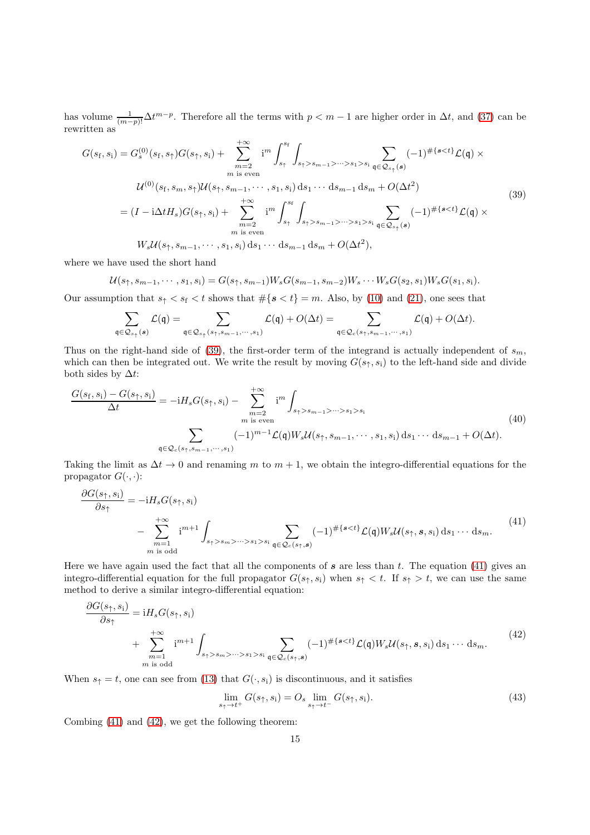has volume  $\frac{1}{(m-p)!}\Delta t^{m-p}$ . Therefore all the terms with  $p < m-1$  are higher order in  $\Delta t$ , and [\(37\)](#page-13-1) can be rewritten as

<span id="page-14-0"></span>
$$
G(s_{\rm f}, s_{\rm i}) = G_{s}^{(0)}(s_{\rm f}, s_{\uparrow})G(s_{\uparrow}, s_{\rm i}) + \sum_{m=2}^{+\infty} i^{m} \int_{s_{\uparrow}}^{s_{\rm f}} \int_{s_{\uparrow} > s_{m-1} > \cdots > s_{1} > s_{\rm i}} \sum_{\mathfrak{q} \in \mathcal{Q}_{s_{\uparrow}}(s)} (-1)^{\# \{s < t\}} \mathcal{L}(\mathfrak{q}) \times
$$
  
\n
$$
\mathcal{U}^{(0)}(s_{\rm f}, s_{m}, s_{\uparrow})\mathcal{U}(s_{\uparrow}, s_{m-1}, \cdots, s_{1}, s_{\rm i}) ds_{1} \cdots ds_{m-1} ds_{m} + O(\Delta t^{2})
$$
  
\n
$$
= (I - i\Delta t H_{s})G(s_{\uparrow}, s_{\rm i}) + \sum_{\substack{m=2 \ m \equiv s \text{ even}}}^{+\infty} i^{m} \int_{s_{\uparrow}}^{s_{\rm f}} \int_{s_{\uparrow} > s_{m-1} > \cdots > s_{1} > s_{\rm i}} \sum_{\mathfrak{q} \in \mathcal{Q}_{s_{\uparrow}}(s)} (-1)^{\# \{s < t\}} \mathcal{L}(\mathfrak{q}) \times
$$
  
\n
$$
W_{s}\mathcal{U}(s_{\uparrow}, s_{m-1}, \cdots, s_{1}, s_{\rm i}) ds_{1} \cdots ds_{m-1} ds_{m} + O(\Delta t^{2}),
$$
\n
$$
(39)
$$

where we have used the short hand

$$
\mathcal{U}(s_{\uparrow}, s_{m-1}, \cdots, s_1, s_i) = G(s_{\uparrow}, s_{m-1}) W_s G(s_{m-1}, s_{m-2}) W_s \cdots W_s G(s_2, s_1) W_s G(s_1, s_i).
$$

Our assumption that  $s<sub>†</sub> < s<sub>f</sub> < t$  shows that  $\#\{s < t\} = m$ . Also, by [\(10\)](#page-4-3) and [\(21\)](#page-7-0), one sees that

$$
\sum_{\mathfrak{q}\in\mathcal{Q}_{s_{\uparrow}}(s)}\mathcal{L}(\mathfrak{q})=\sum_{\mathfrak{q}\in\mathcal{Q}_{s_{\uparrow}}(s_{\uparrow},s_{m-1},\cdots,s_{1})}\mathcal{L}(\mathfrak{q})+O(\Delta t)=\sum_{\mathfrak{q}\in\mathcal{Q}_{c}(s_{\uparrow},s_{m-1},\cdots,s_{1})}\mathcal{L}(\mathfrak{q})+O(\Delta t).
$$

Thus on the right-hand side of [\(39\)](#page-14-0), the first-order term of the integrand is actually independent of  $s_m$ , which can then be integrated out. We write the result by moving  $G(s<sub>1</sub>, s<sub>i</sub>)$  to the left-hand side and divide both sides by  $\Delta t$ :

$$
\frac{G(s_{\rm f}, s_{\rm i}) - G(s_{\rm f}, s_{\rm i})}{\Delta t} = -iH_sG(s_{\rm f}, s_{\rm i}) - \sum_{\substack{m=2 \ m \text{ is even}}}^{+\infty} i^m \int_{s_{\rm f} > s_{m-1} > \cdots > s_1 > s_{\rm i}} (40)
$$
\n
$$
\sum_{\substack{\mathfrak{q} \in \mathcal{Q}_c(s_{\rm f}, s_{m-1}, \cdots, s_1)}} (-1)^{m-1} \mathcal{L}(\mathfrak{q}) W_s \mathcal{U}(s_{\rm f}, s_{m-1}, \cdots, s_1, s_{\rm i}) \, \mathrm{d} s_1 \cdots \, \mathrm{d} s_{m-1} + O(\Delta t).
$$
\n(40)

Taking the limit as  $\Delta t \to 0$  and renaming m to  $m + 1$ , we obtain the integro-differential equations for the propagator  $G(\cdot, \cdot)$ :

<span id="page-14-1"></span>
$$
\frac{\partial G(s_{\uparrow}, s_{\downarrow})}{\partial s_{\uparrow}} = -iH_s G(s_{\uparrow}, s_{\downarrow})
$$
\n
$$
- \sum_{\substack{m=1 \ m \text{ is odd}}}^{+\infty} i^{m+1} \int_{s_{\uparrow} > s_m > \dots > s_1 > s_i} \sum_{\mathfrak{q} \in \mathcal{Q}_c(s_{\uparrow}, s)} (-1)^{\# \{s < t\}} \mathcal{L}(\mathfrak{q}) W_s \mathcal{U}(s_{\uparrow}, s, s_{\downarrow}) \, \mathrm{d} s_1 \dots \, \mathrm{d} s_m. \tag{41}
$$

Here we have again used the fact that all the components of  $s$  are less than  $t$ . The equation [\(41\)](#page-14-1) gives an integro-differential equation for the full propagator  $G(s_{\uparrow}, s_{\downarrow})$  when  $s_{\uparrow} < t$ . If  $s_{\uparrow} > t$ , we can use the same method to derive a similar integro-differential equation:

<span id="page-14-2"></span>
$$
\frac{\partial G(s_{\uparrow}, s_{\downarrow})}{\partial s_{\uparrow}} = iH_s G(s_{\uparrow}, s_{\downarrow}) + \sum_{\substack{m=1 \ m \text{ is odd}}}^{+\infty} i^{m+1} \int_{s_{\uparrow} > s_m > \dots > s_1 > s_{\downarrow}} \sum_{\mathfrak{q} \in \mathcal{Q}_c(s_{\uparrow}, s)} (-1)^{\# \{s < t\}} \mathcal{L}(\mathfrak{q}) W_s \mathcal{U}(s_{\uparrow}, s, s_{\downarrow}) \, \mathrm{d} s_1 \cdots \mathrm{d} s_m. \tag{42}
$$

When  $s_{\uparrow} = t$ , one can see from [\(13\)](#page-4-2) that  $G(\cdot, s_i)$  is discontinuous, and it satisfies

<span id="page-14-3"></span>
$$
\lim_{s_{\uparrow} \to t^{+}} G(s_{\uparrow}, s_{\mathbf{i}}) = O_{s} \lim_{s_{\uparrow} \to t^{-}} G(s_{\uparrow}, s_{\mathbf{i}}). \tag{43}
$$

Combing [\(41\)](#page-14-1) and [\(42\)](#page-14-2), we get the following theorem: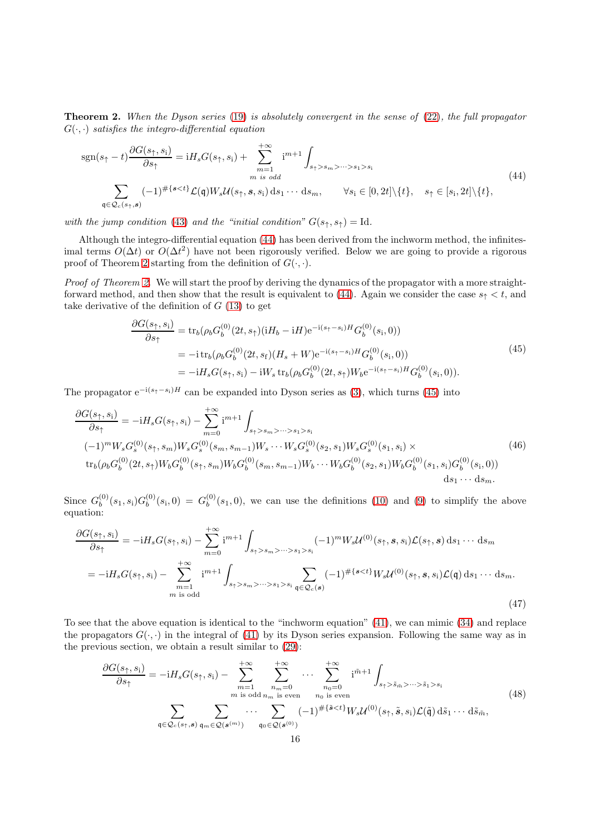<span id="page-15-1"></span>**Theorem 2.** When the Dyson series  $(19)$  is absolutely convergent in the sense of  $(22)$ , the full propagator  $G(\cdot, \cdot)$  satisfies the integro-differential equation

<span id="page-15-0"></span>
$$
sgn(s_{\uparrow} - t) \frac{\partial G(s_{\uparrow}, s_{i})}{\partial s_{\uparrow}} = iH_{s}G(s_{\uparrow}, s_{i}) + \sum_{\substack{m=1 \ m \text{ is odd}}}^{+\infty} i^{m+1} \int_{s_{\uparrow} > s_{m} > \dots > s_{1} > s_{i}} (44)
$$
\n
$$
\sum_{\mathfrak{q} \in \mathcal{Q}_{c}(s_{\uparrow}, s)} (-1)^{\#\{s < t\}} \mathcal{L}(\mathfrak{q}) W_{s} \mathcal{U}(s_{\uparrow}, s, s_{i}) \, \mathrm{d} s_{1} \cdots \mathrm{d} s_{m}, \qquad \forall s_{i} \in [0, 2t] \setminus \{t\}, \quad s_{\uparrow} \in [s_{i}, 2t] \setminus \{t\},
$$

with the jump condition [\(43\)](#page-14-3) and the "initial condition"  $G(s_{\uparrow}, s_{\uparrow}) = Id$ .

Although the integro-differential equation [\(44\)](#page-15-0) has been derived from the inchworm method, the infinitesimal terms  $O(\Delta t)$  or  $O(\Delta t^2)$  have not been rigorously verified. Below we are going to provide a rigorous proof of Theorem [2](#page-15-1) starting from the definition of  $G(\cdot, \cdot)$ .

Proof of Theorem [2.](#page-15-1) We will start the proof by deriving the dynamics of the propagator with a more straight-forward method, and then show that the result is equivalent to [\(44\)](#page-15-0). Again we consider the case  $s<sub>†</sub> < t$ , and take derivative of the definition of  $G(13)$  $G(13)$  to get

$$
\frac{\partial G(s_{\uparrow}, s_{\downarrow})}{\partial s_{\uparrow}} = \text{tr}_{b}(\rho_{b}G_{b}^{(0)}(2t, s_{\uparrow})(iH_{b} - iH)e^{-i(s_{\uparrow} - s_{\downarrow})H}G_{b}^{(0)}(s_{\downarrow}, 0))
$$
\n
$$
= -\text{i}\text{tr}_{b}(\rho_{b}G_{b}^{(0)}(2t, s_{\uparrow})(H_{s} + W)e^{-i(s_{\uparrow} - s_{\downarrow})H}G_{b}^{(0)}(s_{\downarrow}, 0))
$$
\n
$$
= -\text{i}H_{s}G(s_{\uparrow}, s_{\downarrow}) - \text{i}W_{s}\text{tr}_{b}(\rho_{b}G_{b}^{(0)}(2t, s_{\uparrow})W_{b}e^{-i(s_{\uparrow} - s_{\downarrow})H}G_{b}^{(0)}(s_{\downarrow}, 0)).
$$
\n(45)

<span id="page-15-2"></span>The propagator  $e^{-i(s_{\uparrow}-s_{\downarrow})H}$  can be expanded into Dyson series as [\(3\)](#page-2-1), which turns [\(45\)](#page-15-2) into

$$
\frac{\partial G(s_{\uparrow}, s_{\downarrow})}{\partial s_{\uparrow}} = -iH_sG(s_{\uparrow}, s_{\downarrow}) - \sum_{m=0}^{+\infty} i^{m+1} \int_{s_{\uparrow} > s_m > \dots > s_1 > s_{\downarrow}}
$$
\n
$$
(-1)^m W_sG_s^{(0)}(s_{\uparrow}, s_m)W_sG_s^{(0)}(s_m, s_{m-1})W_s \cdots W_sG_s^{(0)}(s_2, s_1)W_sG_s^{(0)}(s_1, s_{\downarrow}) \times
$$
\n
$$
\text{tr}_b(\rho_bG_b^{(0)}(2t, s_{\uparrow})W_bG_b^{(0)}(s_{\uparrow}, s_m)W_bG_b^{(0)}(s_m, s_{m-1})W_b \cdots W_bG_b^{(0)}(s_2, s_1)W_bG_b^{(0)}(s_1, s_{\downarrow})G_b^{(0)}(s_{\downarrow}, 0))
$$
\n
$$
\text{d}s_1 \cdots \text{d}s_m.
$$
\n(46)

Since  $G_h^{(0)}$  $\delta_b^{(0)}(s_1,s_{\rm i})G_b^{(0)}$  $b^{(0)}(s_i,0) = G_b^{(0)}$  $b^{(0)}(s_1, 0)$ , we can use the definitions [\(10\)](#page-4-3) and [\(9\)](#page-4-1) to simplify the above equation:

<span id="page-15-4"></span>
$$
\frac{\partial G(s_{\uparrow}, s_{\downarrow})}{\partial s_{\uparrow}} = -iH_s G(s_{\uparrow}, s_{\downarrow}) - \sum_{m=0}^{+\infty} i^{m+1} \int_{s_{\uparrow} > s_m > \dots > s_1 > s_{\downarrow}} (-1)^m W_s \mathcal{U}^{(0)}(s_{\uparrow}, s, s_{\downarrow}) \mathcal{L}(s_{\uparrow}, s) \, ds_1 \dots ds_m
$$
  
\n
$$
= -iH_s G(s_{\uparrow}, s_{\downarrow}) - \sum_{m=1}^{+\infty} i^{m+1} \int_{s_{\uparrow} > s_m > \dots > s_1 > s_{\downarrow}} \sum_{\mathfrak{q} \in \mathcal{Q}_c(s)} (-1)^{\# \{s < t\}} W_s \mathcal{U}^{(0)}(s_{\uparrow}, s, s_{\downarrow}) \mathcal{L}(\mathfrak{q}) \, ds_1 \dots ds_m.
$$
\n(47)

To see that the above equation is identical to the "inchworm equation" [\(41\)](#page-14-1), we can mimic [\(34\)](#page-12-2) and replace the propagators  $G(\cdot, \cdot)$  in the integral of [\(41\)](#page-14-1) by its Dyson series expansion. Following the same way as in the previous section, we obtain a result similar to [\(29\)](#page-11-0):

<span id="page-15-3"></span>
$$
\frac{\partial G(s_{\uparrow}, s_{\rm i})}{\partial s_{\uparrow}} = -iH_s G(s_{\uparrow}, s_{\rm i}) - \sum_{m=1}^{+\infty} \sum_{\substack{n_m=0 \ n \text{ is odd } n_m \text{ is even}}}^{\infty} \cdots \sum_{\substack{n_0=0 \ n_0 \text{ is even}}}^{\infty} i^{\tilde{m}+1} \int_{s_{\uparrow} > \tilde{s}_{\tilde{m}} > \cdots > \tilde{s}_{1} > s_{\rm i}} (48)
$$
\n
$$
\sum_{\mathfrak{q} \in \mathcal{Q}_c(s_{\uparrow}, s)} \sum_{\mathfrak{q}_m \in \mathcal{Q}(s^{(m)})} \cdots \sum_{\mathfrak{q}_0 \in \mathcal{Q}(s^{(0)})} (-1)^{\#\{\tilde{s} < t\}} W_s \mathcal{U}^{(0)}(s_{\uparrow}, \tilde{s}, s_{\rm i}) \mathcal{L}(\tilde{\mathfrak{q}}) d\tilde{s}_1 \cdots d\tilde{s}_{\tilde{m}},
$$
\n
$$
(48)
$$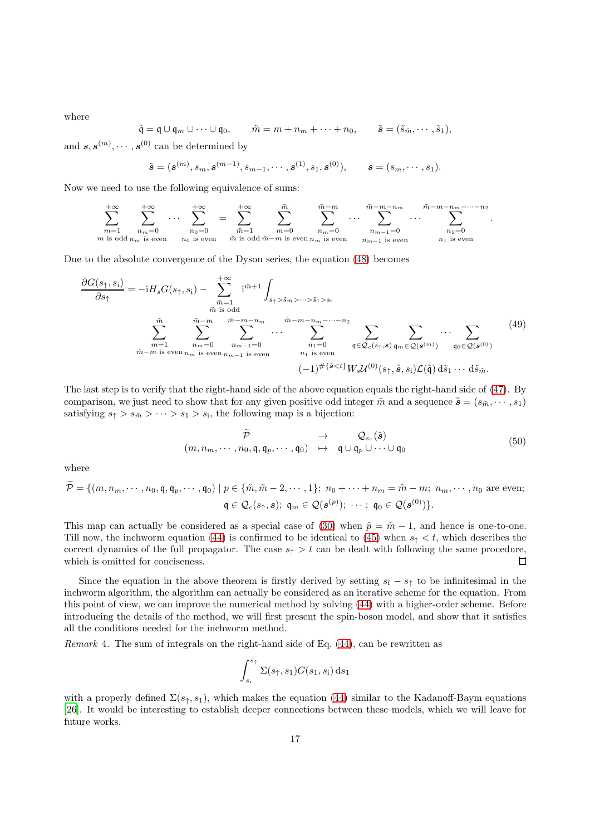where

$$
\tilde{\mathfrak{q}} = \mathfrak{q} \cup \mathfrak{q}_m \cup \cdots \cup \mathfrak{q}_0, \qquad \tilde{m} = m + n_m + \cdots + n_0, \qquad \tilde{s} = (\tilde{s}_{\tilde{m}}, \cdots, \tilde{s}_1),
$$

and  $s, s^{(m)}, \dots, s^{(0)}$  can be determined by

$$
\tilde{s} = (s^{(m)}, s_m, s^{(m-1)}, s_{m-1}, \cdots, s^{(1)}, s_1, s^{(0)}), \qquad s = (s_m, \cdots, s_1).
$$

Now we need to use the following equivalence of sums:

$$
\sum_{m=1}^{+\infty} \sum_{\substack{n_m=0 \ m \text{ is odd }n_m \text{ is even}}}^{+\infty} \cdots \sum_{\substack{n_0=0 \ n_0 \text{ is even}}}^{+\infty} = \sum_{\substack{\tilde{m}=1 \ \tilde{m} \text{ is odd } \tilde{m}-m \text{ is even }n_m \text{ is even}}}^{\pm \infty} \sum_{\substack{n_m=0 \ n_m=0}}^{\tilde{m}} \cdots \sum_{\substack{n_{m-1}=0 \ n_{m-1} \text{ is even}}}^{\tilde{m}-m-n_m} \cdots \sum_{\substack{n_1=0 \ n_1 \text{ is even}}}^{\tilde{m}-m-n_m-\cdots-n_2}.
$$

Due to the absolute convergence of the Dyson series, the equation [\(48\)](#page-15-3) becomes

$$
\frac{\partial G(s_{\uparrow}, s_{\rm i})}{\partial s_{\uparrow}} = -iH_sG(s_{\uparrow}, s_{\rm i}) - \sum_{\substack{\tilde{m}=1 \ \tilde{m} \text{ is odd}}}^{\tilde{m}=1} i^{\tilde{m}+1} \int_{s_{\uparrow} > \tilde{s}_{\tilde{m}} > \cdots > \tilde{s}_{1} > s_{\rm i}} \frac{\tilde{m} \sum_{\tilde{m} \text{ is odd}}}{\tilde{m} \sum_{\substack{n_m=0 \ \tilde{m}-m \ m_{m-1} = 0}}^{\tilde{m}-m} \sum_{\substack{n_m=0 \ n_{m-1} = 0}}^{\tilde{m}-m} \cdots \sum_{\substack{n_1=0 \ n_1 \text{ is even}}}^{\tilde{m}-m-n_m - \cdots - n_2} \sum_{q \in \mathcal{Q}_c(s_{\uparrow}, s)} \sum_{q_m \in \mathcal{Q}(s^{(m)})} \cdots \sum_{q_0 \in \mathcal{Q}(s^{(0)})}^{\tilde{q}(0)}
$$
\n
$$
(-1)^{\#\{\tilde{s} < t\}} W_s \mathcal{U}^{(0)}(s_{\uparrow}, \tilde{s}, s_{\rm i}) \mathcal{L}(\tilde{\mathfrak{q}}) \, \mathrm{d}\tilde{s}_{1} \cdots \mathrm{d}\tilde{s}_{\tilde{m}}.
$$
\n
$$
(49)
$$

The last step is to verify that the right-hand side of the above equation equals the right-hand side of [\(47\)](#page-15-4). By comparison, we just need to show that for any given positive odd integer  $\tilde{m}$  and a sequence  $\tilde{s} = (s_{\tilde{m}}, \dots, s_1)$ satisfying  $s_{\uparrow} > s_{\tilde{m}} > \cdots > s_1 > s_i$ , the following map is a bijection:

$$
\widetilde{\mathcal{P}} \rightarrow \mathcal{Q}_{s_{\uparrow}}(\tilde{s})
$$
\n
$$
(m, n_m, \cdots, n_0, \mathfrak{q}, \mathfrak{q}_p, \cdots, \mathfrak{q}_0) \rightarrow \mathfrak{q} \cup \mathfrak{q}_p \cup \cdots \cup \mathfrak{q}_0
$$
\n
$$
(50)
$$

where

$$
\mathcal{P} = \{ (m, n_m, \cdots, n_0, \mathfrak{q}, \mathfrak{q}_p, \cdots, \mathfrak{q}_0) \mid p \in \{ \tilde{m}, \tilde{m} - 2, \cdots, 1 \}; n_0 + \cdots + n_m = \tilde{m} - m; n_m, \cdots, n_0 \text{ are even};
$$
  

$$
\mathfrak{q} \in \mathcal{Q}_c(s_\uparrow, s); \mathfrak{q}_m \in \mathcal{Q}(s^{(p)}); \cdots; \mathfrak{q}_0 \in \mathcal{Q}(s^{(0)}) \}.
$$

This map can actually be considered as a special case of [\(30\)](#page-11-1) when  $\tilde{p} = \tilde{m} - 1$ , and hence is one-to-one. Till now, the inchworm equation [\(44\)](#page-15-0) is confirmed to be identical to [\(45\)](#page-15-2) when  $s<sub>†</sub> < t$ , which describes the correct dynamics of the full propagator. The case  $s<sub>†</sub> > t$  can be dealt with following the same procedure, which is omitted for conciseness.  $\Box$ 

Since the equation in the above theorem is firstly derived by setting  $s_f - s_\uparrow$  to be infinitesimal in the inchworm algorithm, the algorithm can actually be considered as an iterative scheme for the equation. From this point of view, we can improve the numerical method by solving [\(44\)](#page-15-0) with a higher-order scheme. Before introducing the details of the method, we will first present the spin-boson model, and show that it satisfies all the conditions needed for the inchworm method.

Remark 4. The sum of integrals on the right-hand side of Eq. [\(44\)](#page-15-0), can be rewritten as

$$
\int_{s_i}^{s_{\uparrow}} \Sigma(s_{\uparrow}, s_1) G(s_1, s_i) \, \mathrm{d} s_1
$$

with a properly defined  $\Sigma(s<sub>1</sub>, s<sub>1</sub>)$ , which makes the equation [\(44\)](#page-15-0) similar to the Kadanoff-Baym equations [\[26](#page-26-35)]. It would be interesting to establish deeper connections between these models, which we will leave for future works.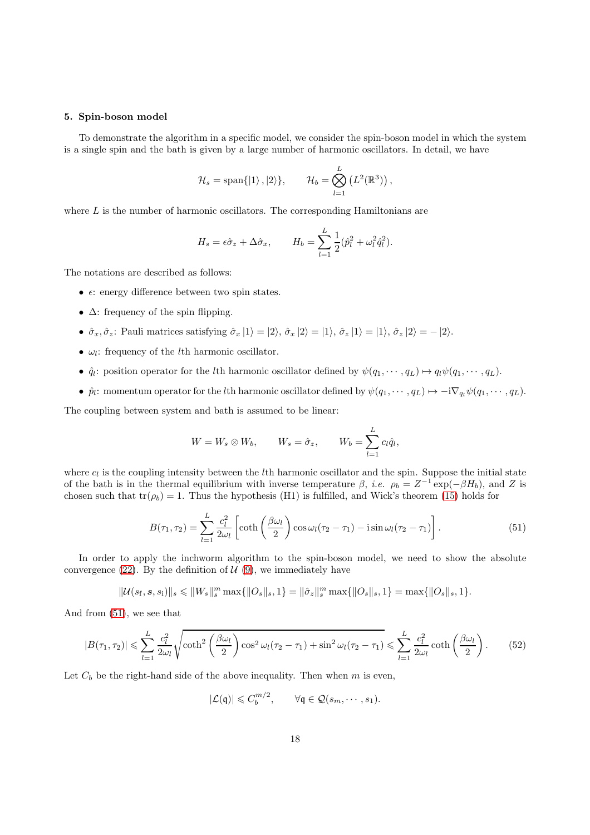## <span id="page-17-0"></span>5. Spin-boson model

To demonstrate the algorithm in a specific model, we consider the spin-boson model in which the system is a single spin and the bath is given by a large number of harmonic oscillators. In detail, we have

$$
\mathcal{H}_s = \text{span}\{|1\rangle, |2\rangle\}, \qquad \mathcal{H}_b = \bigotimes_{l=1}^L \left(L^2(\mathbb{R}^3)\right),
$$

where  $L$  is the number of harmonic oscillators. The corresponding Hamiltonians are

$$
H_s = \epsilon \hat{\sigma}_z + \Delta \hat{\sigma}_x, \qquad H_b = \sum_{l=1}^L \frac{1}{2} (\hat{p}_l^2 + \omega_l^2 \hat{q}_l^2).
$$

The notations are described as follows:

- $\epsilon$ : energy difference between two spin states.
- $\Delta$ : frequency of the spin flipping.
- $\hat{\sigma}_x, \hat{\sigma}_z$ : Pauli matrices satisfying  $\hat{\sigma}_x |1\rangle = |2\rangle, \hat{\sigma}_x |2\rangle = |1\rangle, \hat{\sigma}_z |1\rangle = |1\rangle, \hat{\sigma}_z |2\rangle = |2\rangle.$
- $\omega_l$ : frequency of the *l*th harmonic oscillator.
- $\hat{q}_l$ : position operator for the *l*th harmonic oscillator defined by  $\psi(q_1, \dots, q_L) \mapsto q_l \psi(q_1, \dots, q_L)$ .
- $\hat{p}_l$ : momentum operator for the *l*th harmonic oscillator defined by  $\psi(q_1, \dots, q_L) \mapsto -i \nabla_{q_l} \psi(q_1, \dots, q_L)$ .

The coupling between system and bath is assumed to be linear:

$$
W = W_s \otimes W_b, \qquad W_s = \hat{\sigma}_z, \qquad W_b = \sum_{l=1}^L c_l \hat{q}_l,
$$

where  $c_l$  is the coupling intensity between the *l*th harmonic oscillator and the spin. Suppose the initial state of the bath is in the thermal equilibrium with inverse temperature  $\beta$ , *i.e.*  $\rho_b = Z^{-1} \exp(-\beta H_b)$ , and Z is chosen such that  $tr(\rho_b) = 1$ . Thus the hypothesis (H1) is fulfilled, and Wick's theorem [\(15\)](#page-5-0) holds for

<span id="page-17-1"></span>
$$
B(\tau_1, \tau_2) = \sum_{l=1}^{L} \frac{c_l^2}{2\omega_l} \left[ \coth\left(\frac{\beta\omega_l}{2}\right) \cos\omega_l (\tau_2 - \tau_1) - i \sin\omega_l (\tau_2 - \tau_1) \right]. \tag{51}
$$

In order to apply the inchworm algorithm to the spin-boson model, we need to show the absolute convergence [\(22\)](#page-8-2). By the definition of  $\mathcal{U}(9)$  $\mathcal{U}(9)$ , we immediately have

$$
\|\mathcal{U}(s_f, \mathbf{s}, s_i)\|_{s} \leqslant \|W_s\|_{s}^{m} \max\{\|O_s\|_{s}, 1\} = \|\hat{\sigma}_z\|_{s}^{m} \max\{\|O_s\|_{s}, 1\} = \max\{\|O_s\|_{s}, 1\}.
$$

And from [\(51\)](#page-17-1), we see that

<span id="page-17-2"></span>
$$
|B(\tau_1, \tau_2)| \leqslant \sum_{l=1}^L \frac{c_l^2}{2\omega_l} \sqrt{\coth^2\left(\frac{\beta\omega_l}{2}\right)\cos^2\omega_l(\tau_2 - \tau_1) + \sin^2\omega_l(\tau_2 - \tau_1)} \leqslant \sum_{l=1}^L \frac{c_l^2}{2\omega_l} \coth\left(\frac{\beta\omega_l}{2}\right). \tag{52}
$$

Let  $C_b$  be the right-hand side of the above inequality. Then when m is even,

$$
|\mathcal{L}(\mathfrak{q})| \leqslant C_b^{m/2}, \qquad \forall \mathfrak{q} \in \mathcal{Q}(s_m, \cdots, s_1).
$$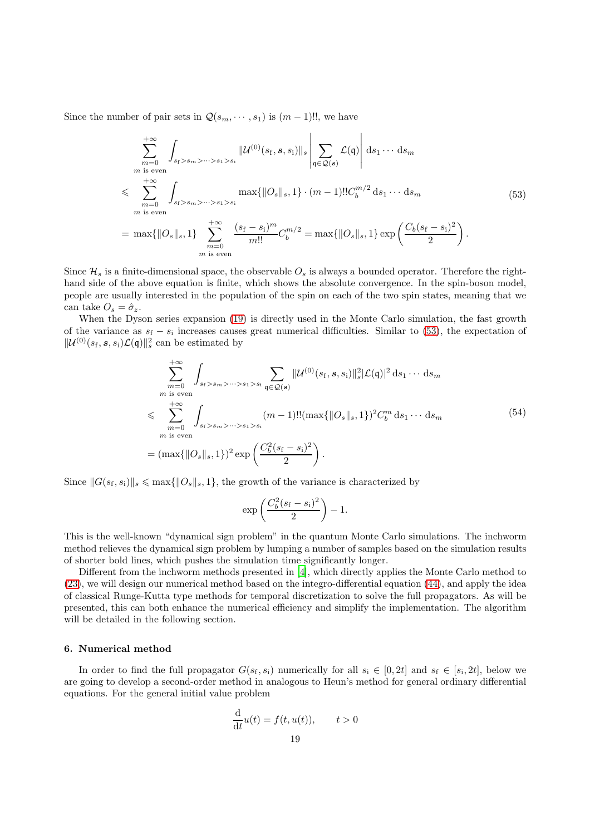<span id="page-18-1"></span>Since the number of pair sets in  $\mathcal{Q}(s_m, \dots, s_1)$  is  $(m-1)!!$ , we have

$$
\sum_{m=0}^{+\infty} \int_{s_f > s_m > \dots > s_1 > s_i} ||\mathcal{U}^{(0)}(s_f, s, s_i)||_s \left| \sum_{\mathfrak{q} \in \mathcal{Q}(s)} \mathcal{L}(\mathfrak{q}) \right| ds_1 \dots ds_m
$$
\n
$$
\leq \sum_{\substack{m=0 \ m \text{ is even}}}^{+\infty} \int_{s_f > s_m > \dots > s_1 > s_i} \max\{||O_s||_s, 1\} \cdot (m-1)!! C_b^{m/2} ds_1 \dots ds_m
$$
\n
$$
= \max\{||O_s||_s, 1\} \sum_{\substack{m=0 \ m \text{ is even}}}^{+\infty} \frac{(s_f - s_i)^m}{m!!} C_b^{m/2} = \max\{||O_s||_s, 1\} \exp\left(\frac{C_b(s_f - s_i)^2}{2}\right).
$$
\n
$$
= \max\{||O_s||_s, 1\} \sum_{\substack{m=0 \ m \text{ is even}}}^{+\infty} \frac{(s_f - s_i)^m}{m!!} C_b^{m/2} = \max\{||O_s||_s, 1\} \exp\left(\frac{C_b(s_f - s_i)^2}{2}\right).
$$
\n(53)

Since  $\mathcal{H}_s$  is a finite-dimensional space, the observable  $O_s$  is always a bounded operator. Therefore the righthand side of the above equation is finite, which shows the absolute convergence. In the spin-boson model, people are usually interested in the population of the spin on each of the two spin states, meaning that we can take  $O_s = \hat{\sigma}_z$ .

When the Dyson series expansion [\(19\)](#page-6-1) is directly used in the Monte Carlo simulation, the fast growth of the variance as  $s_f - s_i$  increases causes great numerical difficulties. Similar to [\(53\)](#page-18-1), the expectation of  $\|\mathcal{U}^{(0)}(s_f, s, s_i)\mathcal{L}(\mathfrak{q})\|_s^2$  can be estimated by

$$
\sum_{m=0}^{+\infty} \int_{s_f > s_m > \dots > s_1 > s_1} \sum_{\mathfrak{q} \in \mathcal{Q}(s)} ||\mathcal{U}^{(0)}(s_f, s, s_i)||_s^2 |\mathcal{L}(\mathfrak{q})|^2 ds_1 \dots ds_m
$$
\n
$$
\leq \sum_{\substack{m=0 \ m \text{ is even}}}^{+\infty} \int_{s_f > s_m > \dots > s_1 > s_i} (m-1)!! (\max\{||O_s||_s, 1\})^2 C_b^m ds_1 \dots ds_m
$$
\n
$$
= (\max\{||O_s||_s, 1\})^2 \exp\left(\frac{C_b^2(s_f - s_i)^2}{2}\right).
$$
\n(54)

Since  $||G(s<sub>f</sub>, s<sub>i</sub>)||<sub>s</sub> \le max{||O<sub>s</sub>||<sub>s</sub>, 1},$  the growth of the variance is characterized by

$$
\exp\left(\frac{C_b^2(s_f-s_i)^2}{2}\right) - 1.
$$

This is the well-known "dynamical sign problem" in the quantum Monte Carlo simulations. The inchworm method relieves the dynamical sign problem by lumping a number of samples based on the simulation results of shorter bold lines, which pushes the simulation time significantly longer.

Different from the inchworm methods presented in [\[4](#page-26-21)], which directly applies the Monte Carlo method to [\(23\)](#page-8-0), we will design our numerical method based on the integro-differential equation [\(44\)](#page-15-0), and apply the idea of classical Runge-Kutta type methods for temporal discretization to solve the full propagators. As will be presented, this can both enhance the numerical efficiency and simplify the implementation. The algorithm will be detailed in the following section.

#### <span id="page-18-0"></span>6. Numerical method

In order to find the full propagator  $G(s_f, s_i)$  numerically for all  $s_i \in [0, 2t]$  and  $s_f \in [s_i, 2t]$ , below we are going to develop a second-order method in analogous to Heun's method for general ordinary differential equations. For the general initial value problem

$$
\frac{\mathrm{d}}{\mathrm{d}t}u(t) = f(t, u(t)), \qquad t > 0
$$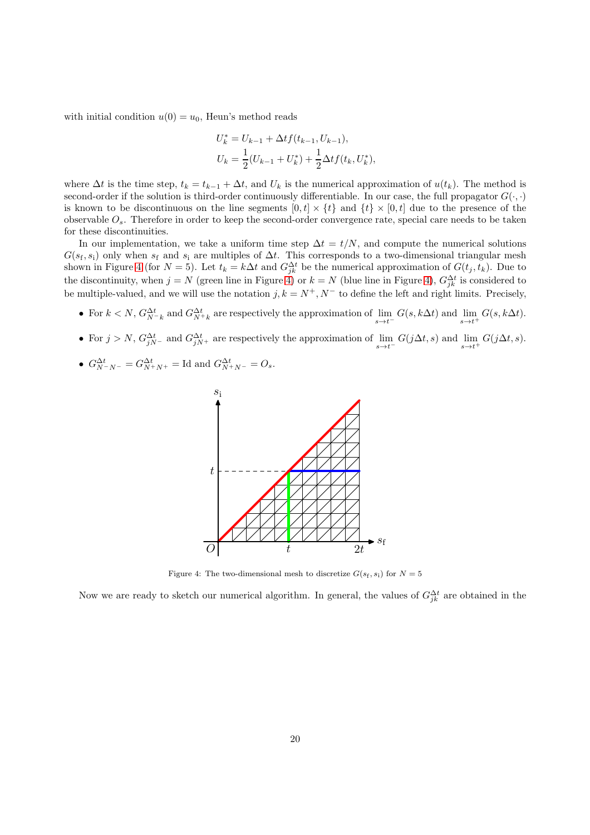with initial condition  $u(0) = u_0$ , Heun's method reads

$$
U_k^* = U_{k-1} + \Delta t f(t_{k-1}, U_{k-1}),
$$
  
\n
$$
U_k = \frac{1}{2}(U_{k-1} + U_k^*) + \frac{1}{2}\Delta t f(t_k, U_k^*),
$$

where  $\Delta t$  is the time step,  $t_k = t_{k-1} + \Delta t$ , and  $U_k$  is the numerical approximation of  $u(t_k)$ . The method is second-order if the solution is third-order continuously differentiable. In our case, the full propagator  $G(\cdot, \cdot)$ is known to be discontinuous on the line segments  $[0, t] \times \{t\}$  and  $\{t\} \times [0, t]$  due to the presence of the observable  $O_s$ . Therefore in order to keep the second-order convergence rate, special care needs to be taken for these discontinuities.

In our implementation, we take a uniform time step  $\Delta t = t/N$ , and compute the numerical solutions  $G(s<sub>f</sub>, s<sub>i</sub>)$  only when  $s<sub>f</sub>$  and  $s<sub>i</sub>$  are multiples of  $\Delta t$ . This corresponds to a two-dimensional triangular mesh shown in Figure [4](#page-19-0) (for  $N = 5$ ). Let  $t_k = k\Delta t$  and  $G_{jk}^{\Delta t}$  be the numerical approximation of  $G(t_j, t_k)$ . Due to the discontinuity, when  $j = N$  (green line in Figure [4\)](#page-19-0) or  $k = N$  (blue line in Figure 4),  $G_{jk}^{\Delta t}$  is considered to be multiple-valued, and we will use the notation  $j, k = N^+, N^-$  to define the left and right limits. Precisely,

- For  $k < N$ ,  $G_{N-k}^{\Delta t}$  and  $G_{N+k}^{\Delta t}$  are respectively the approximation of  $\lim_{s \to t^{-}} G(s, k\Delta t)$  and  $\lim_{s \to t^{+}} G(s, k\Delta t)$ .
- For  $j > N$ ,  $G_{jN^-}^{\Delta t}$  and  $G_{jN^+}^{\Delta t}$  are respectively the approximation of  $\lim_{s \to t^-} G(j\Delta t, s)$  and  $\lim_{s \to t^+} G(j\Delta t, s)$ .
- $G_{N^-N^-}^{\Delta t} = G_{N^+N^+}^{\Delta t} = \text{Id}$  and  $G_{N^+N^-}^{\Delta t} = O_s$ .



<span id="page-19-0"></span>Figure 4: The two-dimensional mesh to discretize  $G(s_f, s_i)$  for  $N = 5$ 

Now we are ready to sketch our numerical algorithm. In general, the values of  $G_{jk}^{\Delta t}$  are obtained in the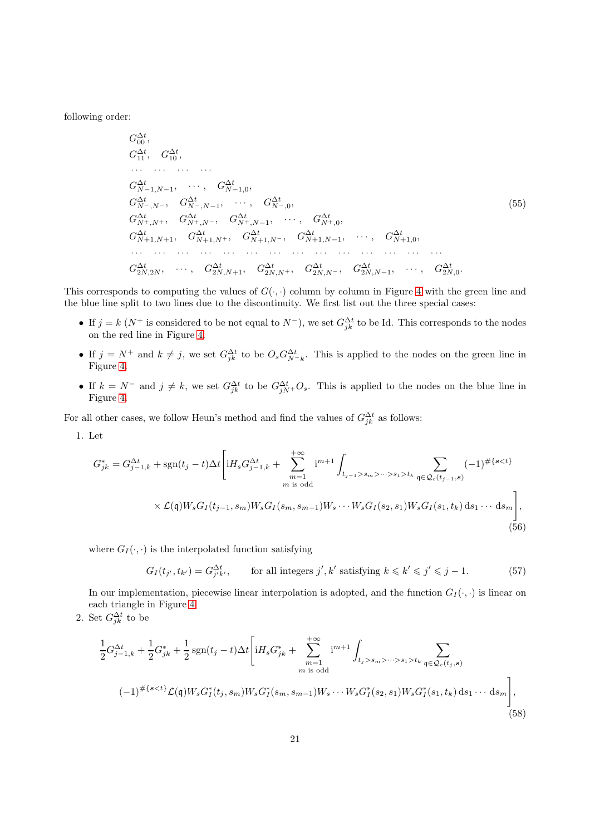following order:

<span id="page-20-3"></span>
$$
G_{00}^{\Delta t},
$$
\n
$$
G_{11}^{\Delta t}, G_{10}^{\Delta t},
$$
\n...\n
$$
G_{N-1,N-1}^{\Delta t}, \dots, G_{N-1,0}^{\Delta t},
$$
\n
$$
G_{N^-,N^-}^{\Delta t}, G_{N^-,N-1}^{\Delta t}, \dots, G_{N^-,0}^{\Delta t},
$$
\n
$$
G_{N^+,N^+}^{\Delta t}, G_{N^+,N^-}^{\Delta t}, G_{N^+,N^-}^{\Delta t}, G_{N^+,N^-}^{\Delta t}, \dots, G_{N^+,0}^{\Delta t},
$$
\n
$$
G_{N+1,N+1}^{\Delta t}, G_{N+1,N^+}^{\Delta t}, G_{N+1,N^-}^{\Delta t}, G_{N+1,N^-}^{\Delta t}, G_{N+1,N-1}^{\Delta t}, \dots, G_{N^+,1,0}^{\Delta t},
$$
\n...\n...\n
$$
G_{2N,2N}^{\Delta t}, \dots, G_{2N,N+1}^{\Delta t}, G_{2N,N^+}^{\Delta t}, G_{2N,N^-}^{\Delta t}, G_{2N,N^-}^{\Delta t}, G_{2N,N^-}^{\Delta t}, \dots, G_{2N,0}^{\Delta t}.
$$
\n(55)

This corresponds to computing the values of  $G(\cdot, \cdot)$  column by column in Figure [4](#page-19-0) with the green line and the blue line split to two lines due to the discontinuity. We first list out the three special cases:

- If  $j = k (N^+$  is considered to be not equal to  $N^-$ ), we set  $G_{jk}^{\Delta t}$  to be Id. This corresponds to the nodes on the red line in Figure [4.](#page-19-0)
- If  $j = N^+$  and  $k \neq j$ , we set  $G_{jk}^{\Delta t}$  to be  $O_s G_{N-k}^{\Delta t}$ . This is applied to the nodes on the green line in Figure [4.](#page-19-0)
- If  $k = N^-$  and  $j \neq k$ , we set  $G_{jk}^{\Delta t}$  to be  $G_{jN+}^{\Delta t}O_s$ . This is applied to the nodes on the blue line in Figure [4.](#page-19-0)

For all other cases, we follow Heun's method and find the values of  $G_{jk}^{\Delta t}$  as follows:

1. Let

<span id="page-20-1"></span>
$$
G_{jk}^{*} = G_{j-1,k}^{\Delta t} + \text{sgn}(t_{j} - t)\Delta t \left[ iH_{s}G_{j-1,k}^{\Delta t} + \sum_{m=1}^{+\infty} i^{m+1} \int_{t_{j-1} > s_m > \dots > s_1 > t_k} \sum_{\mathfrak{q} \in \mathcal{Q}_{c}(t_{j-1},s)} (-1)^{\#\{s < t\}} \left( \sum_{m \text{ is odd}} (-1)^{\#\{s < t\}} \right) \times \mathcal{L}(\mathfrak{q}) W_{s}G_{I}(t_{j-1}, s_m) W_{s}G_{I}(s_m, s_{m-1}) W_{s} \cdots W_{s}G_{I}(s_2, s_1) W_{s}G_{I}(s_1, t_k) ds_1 \cdots ds_m \right],
$$
\n
$$
(56)
$$

where  $G_I(\cdot, \cdot)$  is the interpolated function satisfying

<span id="page-20-2"></span>
$$
G_I(t_{j'}, t_{k'}) = G_{j'k'}^{\Delta t}, \qquad \text{for all integers } j', k' \text{ satisfying } k \leq k' \leq j' \leq j - 1. \tag{57}
$$

In our implementation, piecewise linear interpolation is adopted, and the function  $G_I(\cdot, \cdot)$  is linear on each triangle in Figure [4.](#page-19-0)

2. Set  $G_{jk}^{\Delta t}$  to be

<span id="page-20-0"></span>
$$
\frac{1}{2}G_{j-1,k}^{\Delta t} + \frac{1}{2}G_{jk}^* + \frac{1}{2}\text{sgn}(t_j - t)\Delta t \left[ iH_s G_{jk}^* + \sum_{m=1}^{+\infty} i^{m+1} \int_{t_j > s_m > \dots > s_1 > t_k} \sum_{\mathfrak{q} \in \mathcal{Q}_c(t_j, \mathbf{s})} \sum_{m \text{ is odd}} ( -1)^{\#\{s < t\}} \mathcal{L}(\mathfrak{q}) W_s G_I^*(t_j, s_m) W_s G_I^*(s_m, s_{m-1}) W_s \cdots W_s G_I^*(s_2, s_1) W_s G_I^*(s_1, t_k) \, \mathrm{d} s_1 \cdots \, \mathrm{d} s_m \right],
$$
\n
$$
(58)
$$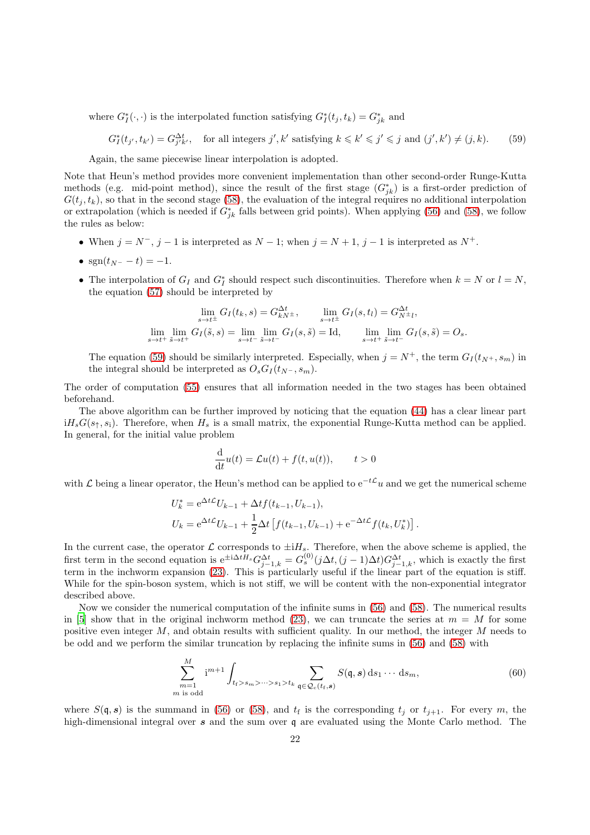where  $G_I^*(\cdot, \cdot)$  is the interpolated function satisfying  $G_I^*(t_j, t_k) = G_{jk}^*$  and

<span id="page-21-0"></span>
$$
G_I^*(t_{j'}, t_{k'}) = G_{j'k'}^{\Delta t}, \quad \text{for all integers } j', k' \text{ satisfying } k \leq k' \leq j' \leq j \text{ and } (j', k') \neq (j, k). \tag{59}
$$

Again, the same piecewise linear interpolation is adopted.

Note that Heun's method provides more convenient implementation than other second-order Runge-Kutta methods (e.g. mid-point method), since the result of the first stage  $(G_{jk}^*)$  is a first-order prediction of  $G(t_i, t_k)$ , so that in the second stage [\(58\)](#page-20-0), the evaluation of the integral requires no additional interpolation or extrapolation (which is needed if  $G_{jk}^*$  falls between grid points). When applying [\(56\)](#page-20-1) and [\(58\)](#page-20-0), we follow the rules as below:

- When  $j = N^-$ ,  $j 1$  is interpreted as  $N 1$ ; when  $j = N + 1$ ,  $j 1$  is interpreted as  $N^+$ .
- $sgn(t_{N^-} t) = -1$ .
- The interpolation of  $G_I$  and  $G_I^*$  should respect such discontinuities. Therefore when  $k = N$  or  $l = N$ , the equation [\(57\)](#page-20-2) should be interpreted by

$$
\lim_{s \to t^{\pm}} G_I(t_k, s) = G_{kN^{\pm}}^{\Delta t}, \qquad \lim_{s \to t^{\pm}} G_I(s, t_l) = G_{N^{\pm}}^{\Delta t},
$$
  

$$
\lim_{s \to t^+} \lim_{\tilde{s} \to t^+} G_I(\tilde{s}, s) = \lim_{s \to t^-} \lim_{\tilde{s} \to t^-} G_I(s, \tilde{s}) = \text{Id}, \qquad \lim_{s \to t^+} \lim_{\tilde{s} \to t^-} G_I(s, \tilde{s}) = O_s.
$$

The equation [\(59\)](#page-21-0) should be similarly interpreted. Especially, when  $j = N^+$ , the term  $G_I(t_{N^+}, s_m)$  in the integral should be interpreted as  $O_sG_I(t_{N-}, s_m)$ .

The order of computation [\(55\)](#page-20-3) ensures that all information needed in the two stages has been obtained beforehand.

The above algorithm can be further improved by noticing that the equation [\(44\)](#page-15-0) has a clear linear part  $iH_sG(s<sub>†</sub>, s<sub>i</sub>)$ . Therefore, when  $H_s$  is a small matrix, the exponential Runge-Kutta method can be applied. In general, for the initial value problem

$$
\frac{\mathrm{d}}{\mathrm{d}t}u(t) = \mathcal{L}u(t) + f(t, u(t)), \qquad t > 0
$$

with L being a linear operator, the Heun's method can be applied to  $e^{-tL}u$  and we get the numerical scheme

$$
U_k^* = e^{\Delta t \mathcal{L}} U_{k-1} + \Delta t f(t_{k-1}, U_{k-1}),
$$
  
\n
$$
U_k = e^{\Delta t \mathcal{L}} U_{k-1} + \frac{1}{2} \Delta t \left[ f(t_{k-1}, U_{k-1}) + e^{-\Delta t \mathcal{L}} f(t_k, U_k^*) \right].
$$

In the current case, the operator  $\mathcal L$  corresponds to  $\pm iH_s$ . Therefore, when the above scheme is applied, the first term in the second equation is  $e^{\pm i\Delta t H_s} G_{j-1,k}^{\Delta t} = G_s^{(0)}(j\Delta t, (j-1)\Delta t) G_{j-1,k}^{\Delta t}$ , which is exactly the first term in the inchworm expansion [\(23\)](#page-8-0). This is particularly useful if the linear part of the equation is stiff. While for the spin-boson system, which is not stiff, we will be content with the non-exponential integrator described above.

Now we consider the numerical computation of the infinite sums in [\(56\)](#page-20-1) and [\(58\)](#page-20-0). The numerical results in [\[5\]](#page-26-29) show that in the original inchworm method [\(23\)](#page-8-0), we can truncate the series at  $m = M$  for some positive even integer  $M$ , and obtain results with sufficient quality. In our method, the integer  $M$  needs to be odd and we perform the similar truncation by replacing the infinite sums in [\(56\)](#page-20-1) and [\(58\)](#page-20-0) with

<span id="page-21-1"></span>
$$
\sum_{\substack{m=1 \ m \text{ is odd}}}^{M} i^{m+1} \int_{t_f > s_m > \dots > s_1 > t_k} \sum_{\mathfrak{q} \in \mathcal{Q}_c(t_f, \mathbf{s})} S(\mathfrak{q}, \mathbf{s}) \, \mathrm{d} s_1 \dots \, \mathrm{d} s_m,\tag{60}
$$

where  $S(q, s)$  is the summand in [\(56\)](#page-20-1) or [\(58\)](#page-20-0), and  $t_f$  is the corresponding  $t_j$  or  $t_{j+1}$ . For every m, the high-dimensional integral over s and the sum over q are evaluated using the Monte Carlo method. The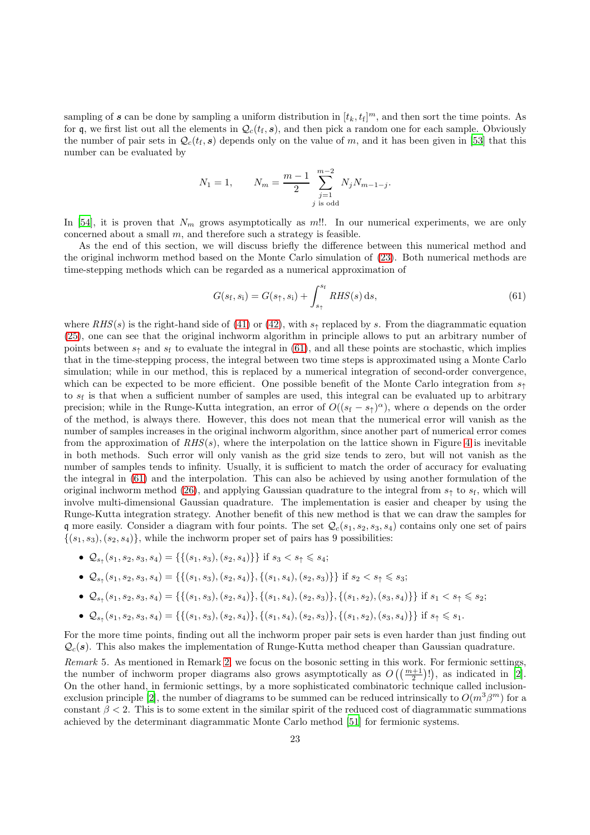sampling of s can be done by sampling a uniform distribution in  $[t_k, t_l]^m$ , and then sort the time points. As for q, we first list out all the elements in  $\mathcal{Q}_c(t_f, s)$ , and then pick a random one for each sample. Obviously the number of pair sets in  $\mathcal{Q}_c(t_f, s)$  depends only on the value of m, and it has been given in [\[53\]](#page-27-20) that this number can be evaluated by

$$
N_1 = 1, \qquad N_m = \frac{m-1}{2} \sum_{\substack{j=1 \ j \text{ is odd}}}^{m-2} N_j N_{m-1-j}.
$$

In [\[54](#page-27-21)], it is proven that  $N_m$  grows asymptotically as m!!. In our numerical experiments, we are only concerned about a small  $m$ , and therefore such a strategy is feasible.

As the end of this section, we will discuss briefly the difference between this numerical method and the original inchworm method based on the Monte Carlo simulation of [\(23\)](#page-8-0). Both numerical methods are time-stepping methods which can be regarded as a numerical approximation of

<span id="page-22-0"></span>
$$
G(s_{\rm f}, s_{\rm i}) = G(s_{\uparrow}, s_{\rm i}) + \int_{s_{\uparrow}}^{s_{\rm f}} RHS(s) \, \mathrm{d}s,\tag{61}
$$

where  $RHS(s)$  is the right-hand side of [\(41\)](#page-14-1) or [\(42\)](#page-14-2), with  $s<sub>†</sub>$  replaced by s. From the diagrammatic equation [\(25\)](#page-9-2), one can see that the original inchworm algorithm in principle allows to put an arbitrary number of points between  $s<sub>†</sub>$  and  $s<sub>f</sub>$  to evaluate the integral in [\(61\)](#page-22-0), and all these points are stochastic, which implies that in the time-stepping process, the integral between two time steps is approximated using a Monte Carlo simulation; while in our method, this is replaced by a numerical integration of second-order convergence, which can be expected to be more efficient. One possible benefit of the Monte Carlo integration from  $s<sub>†</sub>$ to  $s_f$  is that when a sufficient number of samples are used, this integral can be evaluated up to arbitrary precision; while in the Runge-Kutta integration, an error of  $O((s_f - s_f)^\alpha)$ , where  $\alpha$  depends on the order of the method, is always there. However, this does not mean that the numerical error will vanish as the number of samples increases in the original inchworm algorithm, since another part of numerical error comes from the approximation of  $RHS(s)$ , where the interpolation on the lattice shown in Figure [4](#page-19-0) is inevitable in both methods. Such error will only vanish as the grid size tends to zero, but will not vanish as the number of samples tends to infinity. Usually, it is sufficient to match the order of accuracy for evaluating the integral in [\(61\)](#page-22-0) and the interpolation. This can also be achieved by using another formulation of the original inchworm method [\(26\)](#page-9-1), and applying Gaussian quadrature to the integral from  $s<sub>†</sub>$  to  $s<sub>f</sub>$ , which will involve multi-dimensional Gaussian quadrature. The implementation is easier and cheaper by using the Runge-Kutta integration strategy. Another benefit of this new method is that we can draw the samples for q more easily. Consider a diagram with four points. The set  $\mathcal{Q}_c(s_1, s_2, s_3, s_4)$  contains only one set of pairs  $\{(s_1, s_3), (s_2, s_4)\}\$ , while the inchworm proper set of pairs has 9 possibilities:

- $\mathcal{Q}_{s_{\uparrow}}(s_1, s_2, s_3, s_4) = \{ \{ (s_1, s_3), (s_2, s_4) \} \}$  if  $s_3 < s_{\uparrow} \leq s_4$ ;
- $\mathcal{Q}_{s_{\uparrow}}(s_1, s_2, s_3, s_4) = \{ \{ (s_1, s_3), (s_2, s_4) \}, \{ (s_1, s_4), (s_2, s_3) \} \}$  if  $s_2 < s_{\uparrow} \leq s_3$ ;
- $Q_{s_{\uparrow}}(s_1, s_2, s_3, s_4) = \{ \{ (s_1, s_3), (s_2, s_4) \}, \{ (s_1, s_4), (s_2, s_3) \}, \{ (s_1, s_2), (s_3, s_4) \} \}$  if  $s_1 < s_{\uparrow} \leq s_2$ ;
- $\mathcal{Q}_{s_{\uparrow}}(s_1, s_2, s_3, s_4) = \{ \{ (s_1, s_3), (s_2, s_4) \}, \{ (s_1, s_4), (s_2, s_3) \}, \{ (s_1, s_2), (s_3, s_4) \} \}$  if  $s_{\uparrow} \leq s_1$ .

For the more time points, finding out all the inchworm proper pair sets is even harder than just finding out  $\mathcal{Q}_c(s)$ . This also makes the implementation of Runge-Kutta method cheaper than Gaussian quadrature.

Remark 5. As mentioned in Remark [2,](#page-6-3) we focus on the bosonic setting in this work. For fermionic settings, the number of inchworm proper diagrams also grows asymptotically as  $O((\frac{m+1}{2})!)$ , as indicated in [\[2](#page-26-36)]. On the other hand, in fermionic settings, by a more sophisticated combinatoric technique called inclusion-exclusion principle [\[2](#page-26-36)], the number of diagrams to be summed can be reduced intrinsically to  $O(m^3\beta^m)$  for a constant  $\beta$  < 2. This is to some extent in the similar spirit of the reduced cost of diagrammatic summations achieved by the determinant diagrammatic Monte Carlo method [\[51](#page-27-22)] for fermionic systems.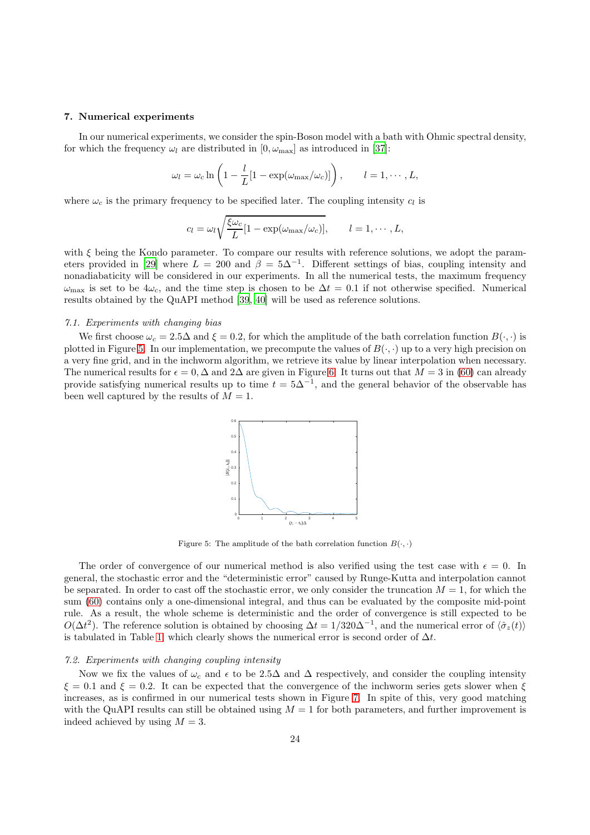## <span id="page-23-0"></span>7. Numerical experiments

In our numerical experiments, we consider the spin-Boson model with a bath with Ohmic spectral density, for which the frequency  $\omega_l$  are distributed in [0,  $\omega_{\text{max}}$ ] as introduced in [\[37\]](#page-26-37):

$$
\omega_l = \omega_c \ln \left( 1 - \frac{l}{L} [1 - \exp(\omega_{\text{max}}/\omega_c)] \right), \qquad l = 1, \cdots, L,
$$

where  $\omega_c$  is the primary frequency to be specified later. The coupling intensity  $c_l$  is

$$
c_l = \omega_l \sqrt{\frac{\xi \omega_c}{L} [1 - \exp(\omega_{\text{max}}/\omega_c)], \qquad l = 1, \cdots, L,
$$

with  $\xi$  being the Kondo parameter. To compare our results with reference solutions, we adopt the param-eters provided in [\[29\]](#page-26-19) where  $L = 200$  and  $\beta = 5\Delta^{-1}$ . Different settings of bias, coupling intensity and nonadiabaticity will be considered in our experiments. In all the numerical tests, the maximum frequency  $\omega_{\text{max}}$  is set to be  $4\omega_c$ , and the time step is chosen to be  $\Delta t = 0.1$  if not otherwise specified. Numerical results obtained by the QuAPI method [\[39,](#page-27-23) [40\]](#page-27-24) will be used as reference solutions.

## 7.1. Experiments with changing bias

We first choose  $\omega_c = 2.5\Delta$  and  $\xi = 0.2$ , for which the amplitude of the bath correlation function  $B(\cdot, \cdot)$  is plotted in Figure [5.](#page-23-1) In our implementation, we precompute the values of  $B(\cdot, \cdot)$  up to a very high precision on a very fine grid, and in the inchworm algorithm, we retrieve its value by linear interpolation when necessary. The numerical results for  $\epsilon = 0$ ,  $\Delta$  and  $2\Delta$  are given in Figure [6.](#page-24-0) It turns out that  $M = 3$  in [\(60\)](#page-21-1) can already provide satisfying numerical results up to time  $t = 5\Delta^{-1}$ , and the general behavior of the observable has been well captured by the results of  $M = 1$ .



<span id="page-23-1"></span>Figure 5: The amplitude of the bath correlation function  $B(\cdot, \cdot)$ 

The order of convergence of our numerical method is also verified using the test case with  $\epsilon = 0$ . In general, the stochastic error and the "deterministic error" caused by Runge-Kutta and interpolation cannot be separated. In order to cast off the stochastic error, we only consider the truncation  $M = 1$ , for which the sum [\(60\)](#page-21-1) contains only a one-dimensional integral, and thus can be evaluated by the composite mid-point rule. As a result, the whole scheme is deterministic and the order of convergence is still expected to be  $O(\Delta t^2)$ . The reference solution is obtained by choosing  $\Delta t = 1/320\Delta^{-1}$ , and the numerical error of  $\langle \hat{\sigma}_z(t) \rangle$ is tabulated in Table [1,](#page-24-1) which clearly shows the numerical error is second order of  $\Delta t$ .

#### 7.2. Experiments with changing coupling intensity

Now we fix the values of  $\omega_c$  and  $\epsilon$  to be 2.5 $\Delta$  and  $\Delta$  respectively, and consider the coupling intensity  $\xi = 0.1$  and  $\xi = 0.2$ . It can be expected that the convergence of the inchworm series gets slower when  $\xi$ increases, as is confirmed in our numerical tests shown in Figure [7.](#page-24-2) In spite of this, very good matching with the QuAPI results can still be obtained using  $M = 1$  for both parameters, and further improvement is indeed achieved by using  $M = 3$ .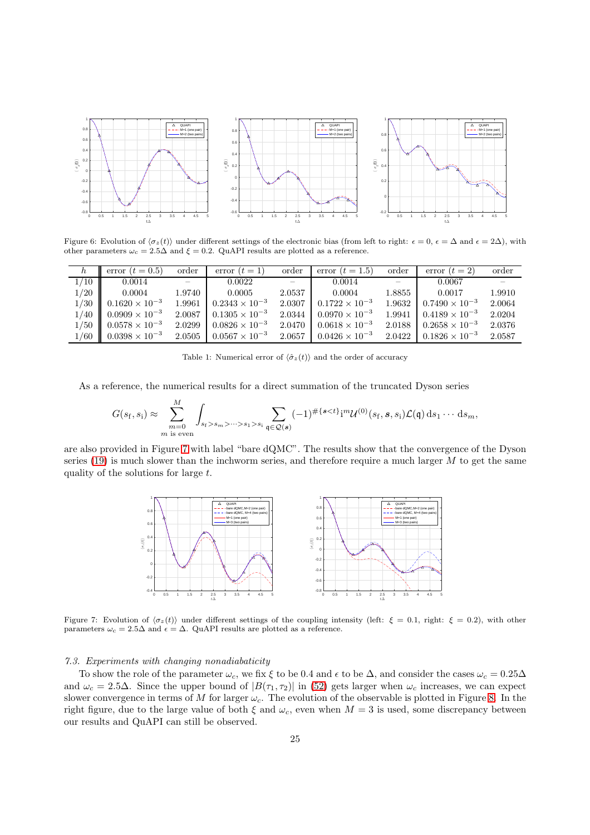

<span id="page-24-0"></span>Figure 6: Evolution of  $\langle \sigma_z(t) \rangle$  under different settings of the electronic bias (from left to right:  $\epsilon = 0$ ,  $\epsilon = \Delta$  and  $\epsilon = 2\Delta$ ), with other parameters  $\omega_c = 2.5\Delta$  and  $\xi = 0.2$ . QuAPI results are plotted as a reference.

|      | error $(t=0.5)$         | order  | error $(t=1)$           | order  | error $(t = 1.5)$       | order  | error $(t=2)$           | order  |
|------|-------------------------|--------|-------------------------|--------|-------------------------|--------|-------------------------|--------|
| 1/10 | 0.0014                  |        | 0.0022                  |        | 0.0014                  |        | 0.0067                  |        |
| 1/20 | 0.0004                  | 1.9740 | 0.0005                  | 2.0537 | 0.0004                  | 1.8855 | 0.0017                  | 1.9910 |
| 1/30 | $0.1620 \times 10^{-3}$ | 1.9961 | $0.2343 \times 10^{-3}$ | 2.0307 | $0.1722 \times 10^{-3}$ | 1.9632 | $0.7490 \times 10^{-3}$ | 2.0064 |
| 1/40 | $0.0909 \times 10^{-3}$ | 2.0087 | $0.1305 \times 10^{-3}$ | 2.0344 | $0.0970 \times 10^{-3}$ | 1.9941 | $0.4189 \times 10^{-3}$ | 2.0204 |
| 1/50 | $0.0578 \times 10^{-3}$ | 2.0299 | $0.0826 \times 10^{-3}$ | 2.0470 | $0.0618 \times 10^{-3}$ | 2.0188 | $0.2658 \times 10^{-3}$ | 2.0376 |
| 1/60 | $0.0398 \times 10^{-3}$ | 2.0505 | $0.0567 \times 10^{-3}$ | 2.0657 | $0.0426 \times 10^{-3}$ | 2.0422 | $0.1826 \times 10^{-3}$ | 2.0587 |

<span id="page-24-1"></span>Table 1: Numerical error of  $\langle \hat{\sigma}_z(t) \rangle$  and the order of accuracy

As a reference, the numerical results for a direct summation of the truncated Dyson series

$$
G(s_f, s_i) \approx \sum_{\substack{m=0 \ m \text{ is even}}}^M \int_{s_f > s_m > \dots > s_1 > s_i} \sum_{\mathfrak{q} \in \mathcal{Q}(\mathbf{s})} (-1)^{\#\{\mathbf{s} < t\}} i^m \mathcal{U}^{(0)}(s_f, \mathbf{s}, s_i) \mathcal{L}(\mathfrak{q}) \, \mathrm{d} s_1 \dots \, \mathrm{d} s_m,
$$

are also provided in Figure [7](#page-24-2) with label "bare dQMC". The results show that the convergence of the Dyson series [\(19\)](#page-6-1) is much slower than the inchworm series, and therefore require a much larger  $M$  to get the same quality of the solutions for large t.



<span id="page-24-2"></span>Figure 7: Evolution of  $\langle \sigma_z(t) \rangle$  under different settings of the coupling intensity (left:  $\xi = 0.1$ , right:  $\xi = 0.2$ ), with other parameters  $\omega_c = 2.5\Delta$  and  $\epsilon = \Delta$ . QuAPI results are plotted as a reference.

## 7.3. Experiments with changing nonadiabaticity

To show the role of the parameter  $\omega_c$ , we fix  $\xi$  to be 0.4 and  $\epsilon$  to be  $\Delta$ , and consider the cases  $\omega_c = 0.25\Delta$ and  $\omega_c = 2.5\Delta$ . Since the upper bound of  $|B(\tau_1, \tau_2)|$  in [\(52\)](#page-17-2) gets larger when  $\omega_c$  increases, we can expect slower convergence in terms of M for larger  $\omega_c$ . The evolution of the observable is plotted in Figure [8.](#page-25-1) In the right figure, due to the large value of both  $\xi$  and  $\omega_c$ , even when  $M = 3$  is used, some discrepancy between our results and QuAPI can still be observed.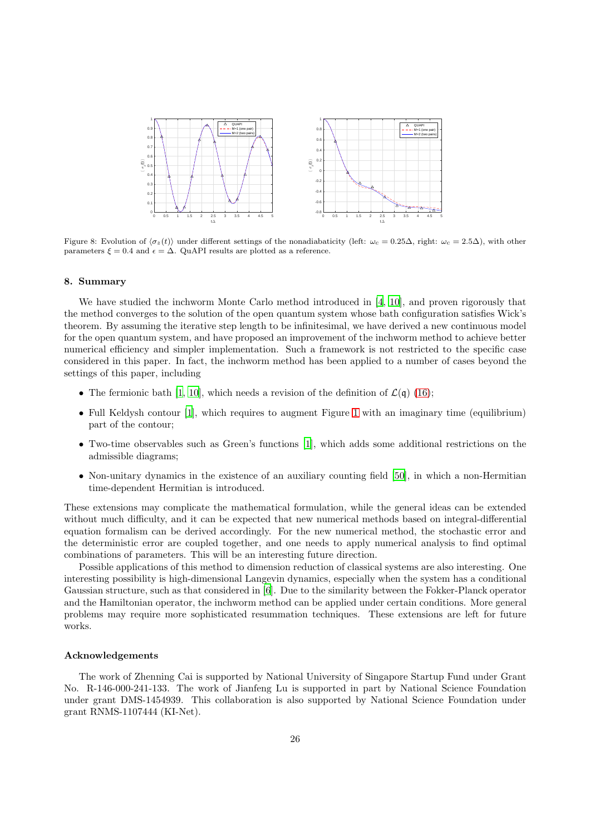

<span id="page-25-1"></span>Figure 8: Evolution of  $\langle \sigma_z(t) \rangle$  under different settings of the nonadiabaticity (left:  $\omega_c = 0.25\Delta$ , right:  $\omega_c = 2.5\Delta$ ), with other parameters  $\xi = 0.4$  and  $\epsilon = \Delta$ . QuAPI results are plotted as a reference.

## <span id="page-25-0"></span>8. Summary

We have studied the inchworm Monte Carlo method introduced in [\[4](#page-26-21), [10\]](#page-26-22), and proven rigorously that the method converges to the solution of the open quantum system whose bath configuration satisfies Wick's theorem. By assuming the iterative step length to be infinitesimal, we have derived a new continuous model for the open quantum system, and have proposed an improvement of the inchworm method to achieve better numerical efficiency and simpler implementation. Such a framework is not restricted to the specific case considered in this paper. In fact, the inchworm method has been applied to a number of cases beyond the settings of this paper, including

- The fermionic bath [\[1](#page-26-34), [10\]](#page-26-22), which needs a revision of the definition of  $\mathcal{L}(\mathfrak{q})$  [\(16\)](#page-5-3);
- Full Keldysh contour [\[1\]](#page-26-34), which requires to augment Figure [1](#page-3-0) with an imaginary time (equilibrium) part of the contour;
- Two-time observables such as Green's functions [\[1](#page-26-34)], which adds some additional restrictions on the admissible diagrams;
- Non-unitary dynamics in the existence of an auxiliary counting field [\[50\]](#page-27-18), in which a non-Hermitian time-dependent Hermitian is introduced.

These extensions may complicate the mathematical formulation, while the general ideas can be extended without much difficulty, and it can be expected that new numerical methods based on integral-differential equation formalism can be derived accordingly. For the new numerical method, the stochastic error and the deterministic error are coupled together, and one needs to apply numerical analysis to find optimal combinations of parameters. This will be an interesting future direction.

Possible applications of this method to dimension reduction of classical systems are also interesting. One interesting possibility is high-dimensional Langevin dynamics, especially when the system has a conditional Gaussian structure, such as that considered in [\[6\]](#page-26-4). Due to the similarity between the Fokker-Planck operator and the Hamiltonian operator, the inchworm method can be applied under certain conditions. More general problems may require more sophisticated resummation techniques. These extensions are left for future works.

#### Acknowledgements

The work of Zhenning Cai is supported by National University of Singapore Startup Fund under Grant No. R-146-000-241-133. The work of Jianfeng Lu is supported in part by National Science Foundation under grant DMS-1454939. This collaboration is also supported by National Science Foundation under grant RNMS-1107444 (KI-Net).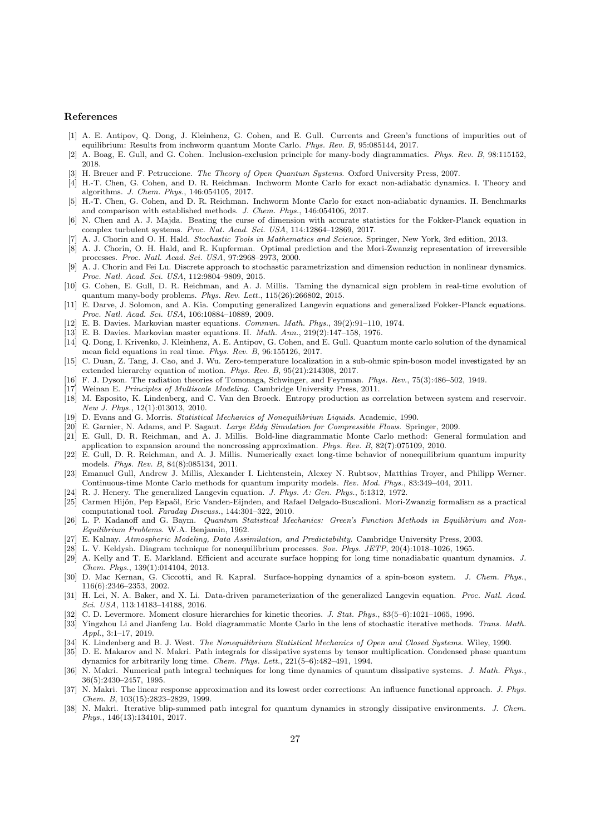#### References

- <span id="page-26-34"></span>[1] A. E. Antipov, Q. Dong, J. Kleinhenz, G. Cohen, and E. Gull. Currents and Green's functions of impurities out of equilibrium: Results from inchworm quantum Monte Carlo. *Phys. Rev. B*, 95:085144, 2017.
- <span id="page-26-36"></span>[2] A. Boag, E. Gull, and G. Cohen. Inclusion-exclusion principle for many-body diagrammatics. *Phys. Rev. B*, 98:115152, 2018.
- <span id="page-26-1"></span>[3] H. Breuer and F. Petruccione. *The Theory of Open Quantum Systems*. Oxford University Press, 2007.
- <span id="page-26-21"></span>[4] H.-T. Chen, G. Cohen, and D. R. Reichman. Inchworm Monte Carlo for exact non-adiabatic dynamics. I. Theory and algorithms. *J. Chem. Phys.*, 146:054105, 2017.
- <span id="page-26-29"></span>[5] H.-T. Chen, G. Cohen, and D. R. Reichman. Inchworm Monte Carlo for exact non-adiabatic dynamics. II. Benchmarks and comparison with established methods. *J. Chem. Phys.*, 146:054106, 2017.
- <span id="page-26-4"></span>[6] N. Chen and A. J. Majda. Beating the curse of dimension with accurate statistics for the Fokker-Planck equation in complex turbulent systems. *Proc. Nat. Acad. Sci. USA*, 114:12864–12869, 2017.
- <span id="page-26-11"></span>[7] A. J. Chorin and O. H. Hald. *Stochastic Tools in Mathematics and Science*. Springer, New York, 3rd edition, 2013.
- <span id="page-26-5"></span>[8] A. J. Chorin, O. H. Hald, and R. Kupferman. Optimal prediction and the Mori-Zwanzig representation of irreversible processes. *Proc. Natl. Acad. Sci. USA*, 97:2968–2973, 2000.
- <span id="page-26-6"></span>[9] A. J. Chorin and Fei Lu. Discrete approach to stochastic parametrization and dimension reduction in nonlinear dynamics. *Proc. Natl. Acad. Sci. USA*, 112:9804–9809, 2015.
- <span id="page-26-22"></span>[10] G. Cohen, E. Gull, D. R. Reichman, and A. J. Millis. Taming the dynamical sign problem in real-time evolution of quantum many-body problems. *Phys. Rev. Lett.*, 115(26):266802, 2015.
- <span id="page-26-7"></span>[11] E. Darve, J. Solomon, and A. Kia. Computing generalized Langevin equations and generalized Fokker-Planck equations. *Proc. Natl. Acad. Sci. USA*, 106:10884–10889, 2009.
- <span id="page-26-16"></span>[12] E. B. Davies. Markovian master equations. *Commun. Math. Phys.*, 39(2):91–110, 1974.
- <span id="page-26-17"></span>[13] E. B. Davies. Markovian master equations. II. *Math. Ann.*, 219(2):147–158, 1976.
- <span id="page-26-30"></span>[14] Q. Dong, I. Krivenko, J. Kleinhenz, A. E. Antipov, G. Cohen, and E. Gull. Quantum monte carlo solution of the dynamical mean field equations in real time. *Phys. Rev. B*, 96:155126, 2017.
- <span id="page-26-31"></span>[15] C. Duan, Z. Tang, J. Cao, and J. Wu. Zero-temperature localization in a sub-ohmic spin-boson model investigated by an extended hierarchy equation of motion. *Phys. Rev. B*, 95(21):214308, 2017.
- <span id="page-26-33"></span>[16] F. J. Dyson. The radiation theories of Tomonaga, Schwinger, and Feynman. *Phys. Rev.*, 75(3):486–502, 1949.
- <span id="page-26-12"></span>Weinan E. *Principles of Multiscale Modeling*. Cambridge University Press, 2011.
- <span id="page-26-0"></span>[18] M. Esposito, K. Lindenberg, and C. Van den Broeck. Entropy production as correlation between system and reservoir. *New J. Phys.*, 12(1):013013, 2010.
- <span id="page-26-13"></span>[19] D. Evans and G. Morris. *Statistical Mechanics of Nonequilibrium Liquids*. Academic, 1990.
- <span id="page-26-14"></span>[20] E. Garnier, N. Adams, and P. Sagaut. *Large Eddy Simulation for Compressible Flows*. Springer, 2009.
- <span id="page-26-26"></span>[21] E. Gull, D. R. Reichman, and A. J. Millis. Bold-line diagrammatic Monte Carlo method: General formulation and application to expansion around the noncrossing approximation. *Phys. Rev. B*, 82(7):075109, 2010.
- <span id="page-26-27"></span>[22] E. Gull, D. R. Reichman, and A. J. Millis. Numerically exact long-time behavior of nonequilibrium quantum impurity models. *Phys. Rev. B*, 84(8):085134, 2011.
- <span id="page-26-3"></span>[23] Emanuel Gull, Andrew J. Millis, Alexander I. Lichtenstein, Alexey N. Rubtsov, Matthias Troyer, and Philipp Werner. Continuous-time Monte Carlo methods for quantum impurity models. *Rev. Mod. Phys.*, 83:349–404, 2011.
- <span id="page-26-18"></span>[24] R. J. Henery. The generalized Langevin equation. *J. Phys. A: Gen. Phys.*, 5:1312, 1972.
- <span id="page-26-8"></span>[25] Carmen Hijön, Pep Espaöl, Eric Vanden-Eijnden, and Rafael Delgado-Buscalioni. Mori-Zwanzig formalism as a practical computational tool. *Faraday Discuss.*, 144:301–322, 2010.
- <span id="page-26-35"></span>[26] L. P. Kadanoff and G. Baym. *Quantum Statistical Mechanics: Green's Function Methods in Equilibrium and Non-Equilibrium Problems*. W.A. Benjamin, 1962.
- <span id="page-26-15"></span>[27] E. Kalnay. *Atmospheric Modeling, Data Assimilation, and Predictability*. Cambridge University Press, 2003.
- <span id="page-26-23"></span>[28] L. V. Keldysh. Diagram technique for nonequilibrium processes. *Sov. Phys. JETP*, 20(4):1018–1026, 1965.
- <span id="page-26-19"></span>[29] A. Kelly and T. E. Markland. Efficient and accurate surface hopping for long time nonadiabatic quantum dynamics. *J. Chem. Phys.*, 139(1):014104, 2013.
- <span id="page-26-32"></span>[30] D. Mac Kernan, G. Ciccotti, and R. Kapral. Surface-hopping dynamics of a spin-boson system. *J. Chem. Phys.*, 116(6):2346–2353, 2002.
- <span id="page-26-9"></span>[31] H. Lei, N. A. Baker, and X. Li. Data-driven parameterization of the generalized Langevin equation. *Proc. Natl. Acad. Sci. USA*, 113:14183–14188, 2016.
- <span id="page-26-10"></span>[32] C. D. Levermore. Moment closure hierarchies for kinetic theories. *J. Stat. Phys.*, 83(5–6):1021–1065, 1996.
- <span id="page-26-28"></span>[33] Yingzhou Li and Jianfeng Lu. Bold diagrammatic Monte Carlo in the lens of stochastic iterative methods. *Trans. Math. Appl.*, 3:1–17, 2019.
- <span id="page-26-2"></span>[34] K. Lindenberg and B. J. West. *The Nonequilibrium Statistical Mechanics of Open and Closed Systems*. Wiley, 1990.
- <span id="page-26-24"></span>[35] D. E. Makarov and N. Makri. Path integrals for dissipative systems by tensor multiplication. Condensed phase quantum dynamics for arbitrarily long time. *Chem. Phys. Lett.*, 221(5–6):482–491, 1994.
- <span id="page-26-20"></span>[36] N. Makri. Numerical path integral techniques for long time dynamics of quantum dissipative systems. *J. Math. Phys.*, 36(5):2430–2457, 1995.
- <span id="page-26-37"></span>[37] N. Makri. The linear response approximation and its lowest order corrections: An influence functional approach. *J. Phys. Chem. B*, 103(15):2823–2829, 1999.
- <span id="page-26-25"></span>[38] N. Makri. Iterative blip-summed path integral for quantum dynamics in strongly dissipative environments. *J. Chem. Phys.*, 146(13):134101, 2017.